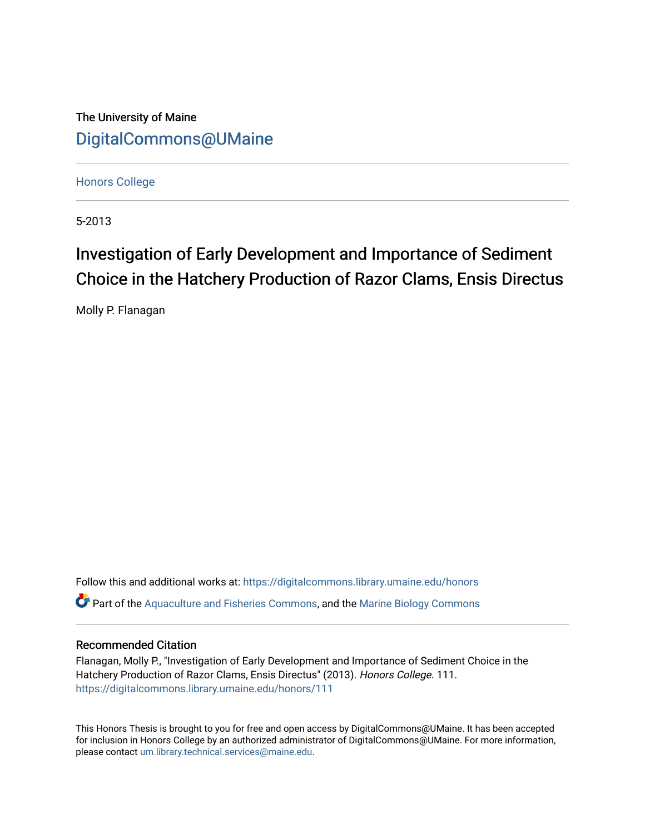The University of Maine [DigitalCommons@UMaine](https://digitalcommons.library.umaine.edu/)

[Honors College](https://digitalcommons.library.umaine.edu/honors)

5-2013

# Investigation of Early Development and Importance of Sediment Choice in the Hatchery Production of Razor Clams, Ensis Directus

Molly P. Flanagan

Follow this and additional works at: [https://digitalcommons.library.umaine.edu/honors](https://digitalcommons.library.umaine.edu/honors?utm_source=digitalcommons.library.umaine.edu%2Fhonors%2F111&utm_medium=PDF&utm_campaign=PDFCoverPages)  Part of the [Aquaculture and Fisheries Commons](http://network.bepress.com/hgg/discipline/78?utm_source=digitalcommons.library.umaine.edu%2Fhonors%2F111&utm_medium=PDF&utm_campaign=PDFCoverPages), and the [Marine Biology Commons](http://network.bepress.com/hgg/discipline/1126?utm_source=digitalcommons.library.umaine.edu%2Fhonors%2F111&utm_medium=PDF&utm_campaign=PDFCoverPages) 

# Recommended Citation

Flanagan, Molly P., "Investigation of Early Development and Importance of Sediment Choice in the Hatchery Production of Razor Clams, Ensis Directus" (2013). Honors College. 111. [https://digitalcommons.library.umaine.edu/honors/111](https://digitalcommons.library.umaine.edu/honors/111?utm_source=digitalcommons.library.umaine.edu%2Fhonors%2F111&utm_medium=PDF&utm_campaign=PDFCoverPages) 

This Honors Thesis is brought to you for free and open access by DigitalCommons@UMaine. It has been accepted for inclusion in Honors College by an authorized administrator of DigitalCommons@UMaine. For more information, please contact [um.library.technical.services@maine.edu.](mailto:um.library.technical.services@maine.edu)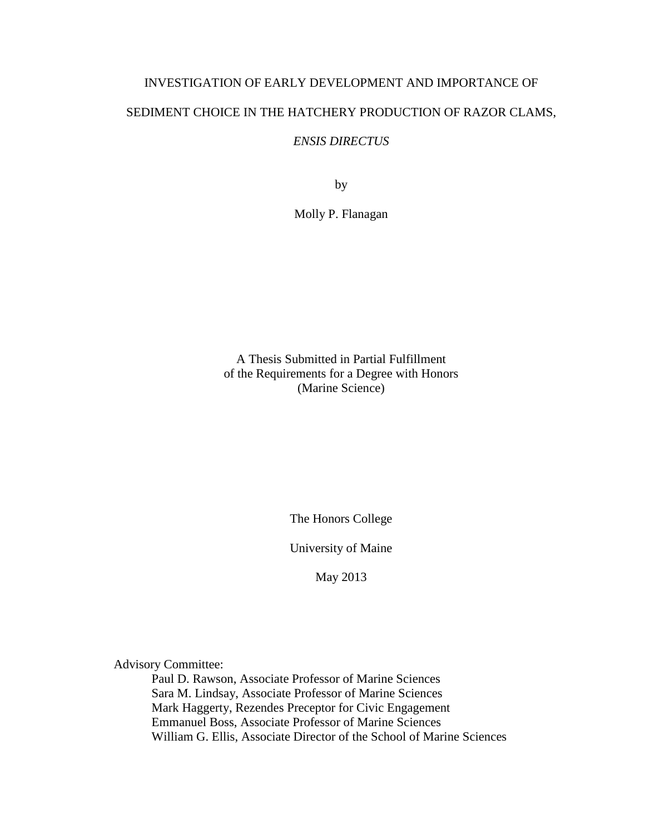# INVESTIGATION OF EARLY DEVELOPMENT AND IMPORTANCE OF SEDIMENT CHOICE IN THE HATCHERY PRODUCTION OF RAZOR CLAMS,

# *ENSIS DIRECTUS*

by

Molly P. Flanagan

A Thesis Submitted in Partial Fulfillment of the Requirements for a Degree with Honors (Marine Science)

The Honors College

University of Maine

May 2013

Advisory Committee:

Paul D. Rawson, Associate Professor of Marine Sciences Sara M. Lindsay, Associate Professor of Marine Sciences Mark Haggerty, Rezendes Preceptor for Civic Engagement Emmanuel Boss, Associate Professor of Marine Sciences William G. Ellis, Associate Director of the School of Marine Sciences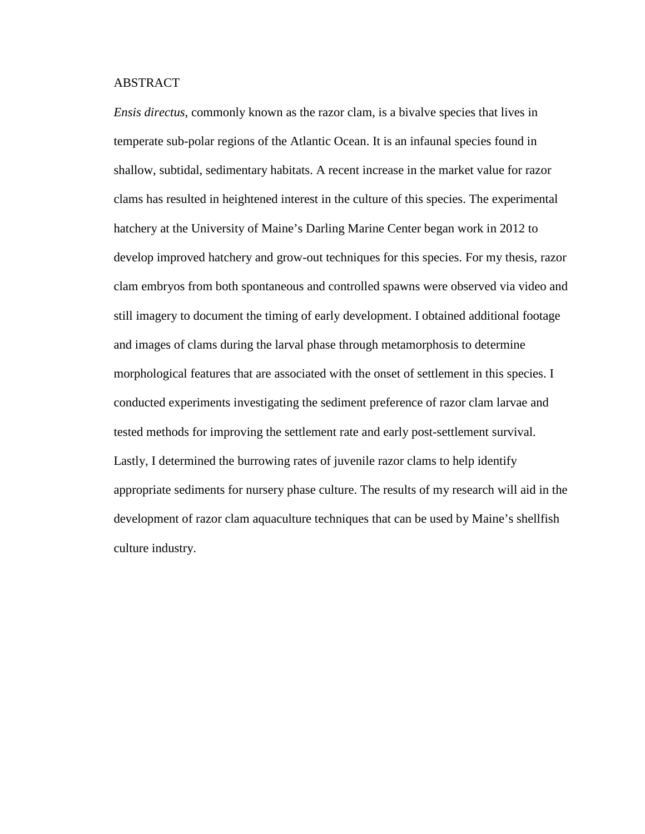# ABSTRACT

*Ensis directus*, commonly known as the razor clam, is a bivalve species that lives in temperate sub-polar regions of the Atlantic Ocean. It is an infaunal species found in shallow, subtidal, sedimentary habitats. A recent increase in the market value for razor clams has resulted in heightened interest in the culture of this species. The experimental hatchery at the University of Maine's Darling Marine Center began work in 2012 to develop improved hatchery and grow-out techniques for this species. For my thesis, razor clam embryos from both spontaneous and controlled spawns were observed via video and still imagery to document the timing of early development. I obtained additional footage and images of clams during the larval phase through metamorphosis to determine morphological features that are associated with the onset of settlement in this species. I conducted experiments investigating the sediment preference of razor clam larvae and tested methods for improving the settlement rate and early post-settlement survival. Lastly, I determined the burrowing rates of juvenile razor clams to help identify appropriate sediments for nursery phase culture. The results of my research will aid in the development of razor clam aquaculture techniques that can be used by Maine's shellfish culture industry.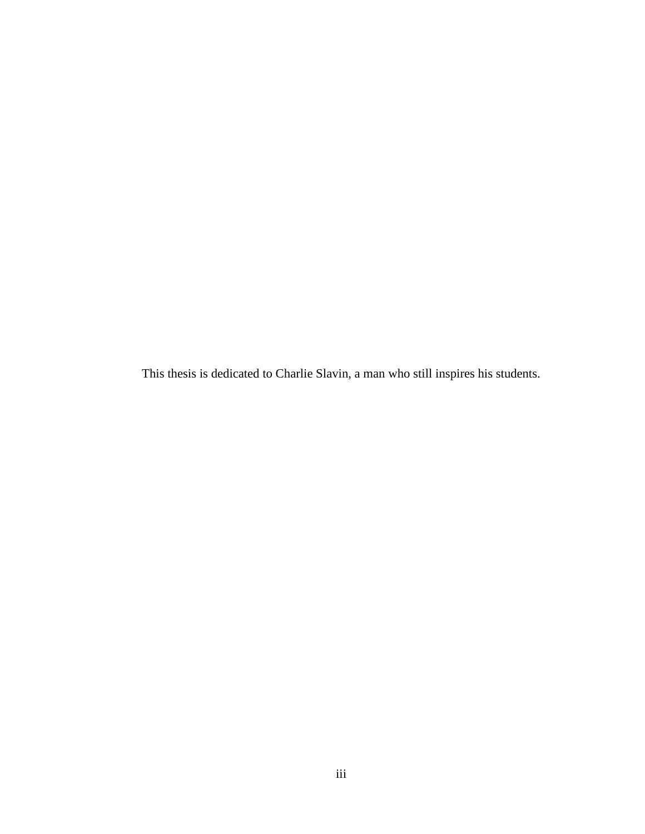This thesis is dedicated to Charlie Slavin, a man who still inspires his students.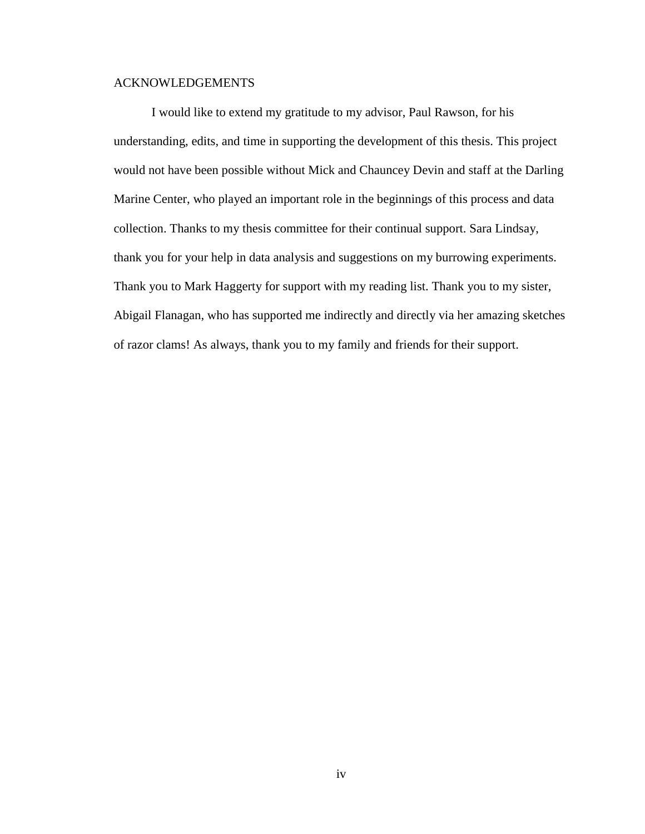# ACKNOWLEDGEMENTS

I would like to extend my gratitude to my advisor, Paul Rawson, for his understanding, edits, and time in supporting the development of this thesis. This project would not have been possible without Mick and Chauncey Devin and staff at the Darling Marine Center, who played an important role in the beginnings of this process and data collection. Thanks to my thesis committee for their continual support. Sara Lindsay, thank you for your help in data analysis and suggestions on my burrowing experiments. Thank you to Mark Haggerty for support with my reading list. Thank you to my sister, Abigail Flanagan, who has supported me indirectly and directly via her amazing sketches of razor clams! As always, thank you to my family and friends for their support.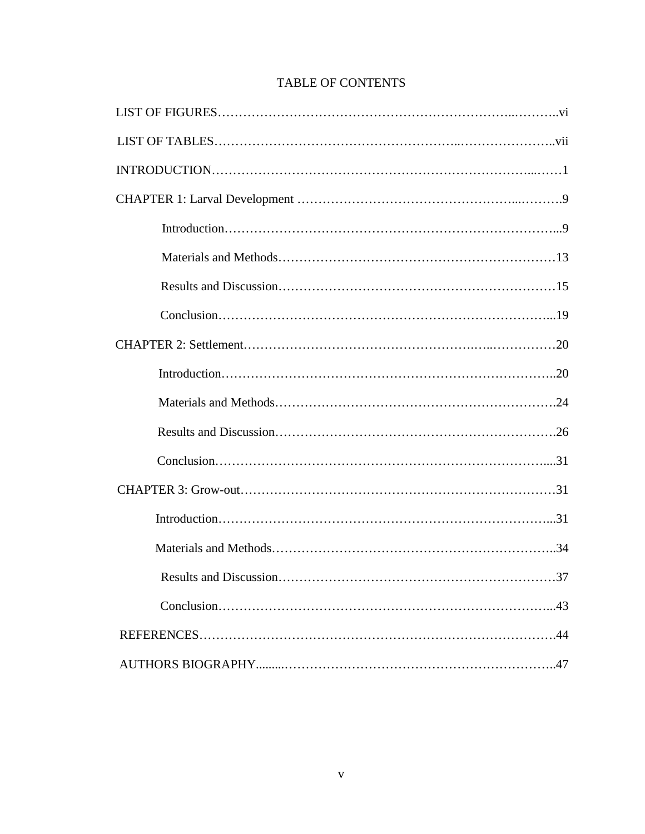# TABLE OF CONTENTS

| 37 |
|----|
|    |
|    |
|    |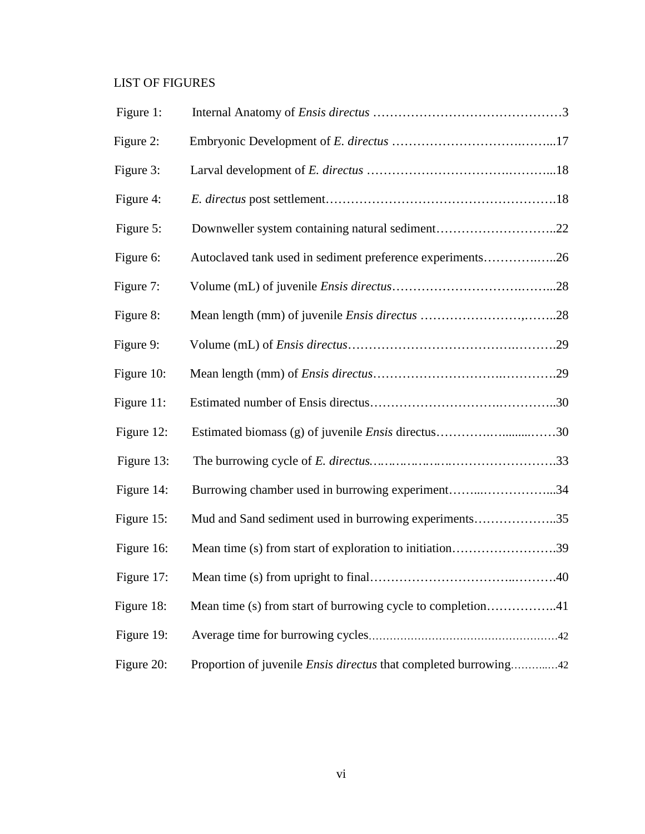# LIST OF FIGURES

| Figure 1:  |                                                                         |
|------------|-------------------------------------------------------------------------|
| Figure 2:  |                                                                         |
| Figure 3:  |                                                                         |
| Figure 4:  |                                                                         |
| Figure 5:  | Downweller system containing natural sediment22                         |
| Figure 6:  | Autoclaved tank used in sediment preference experiments26               |
| Figure 7:  |                                                                         |
| Figure 8:  |                                                                         |
| Figure 9:  |                                                                         |
| Figure 10: |                                                                         |
| Figure 11: |                                                                         |
| Figure 12: | Estimated biomass (g) of juvenile <i>Ensis</i> directus30               |
| Figure 13: |                                                                         |
| Figure 14: | Burrowing chamber used in burrowing experiment34                        |
| Figure 15: | Mud and Sand sediment used in burrowing experiments35                   |
| Figure 16: | Mean time (s) from start of exploration to initiation39                 |
| Figure 17: |                                                                         |
| Figure 18: | Mean time (s) from start of burrowing cycle to completion41             |
| Figure 19: |                                                                         |
| Figure 20: | Proportion of juvenile <i>Ensis directus</i> that completed burrowing42 |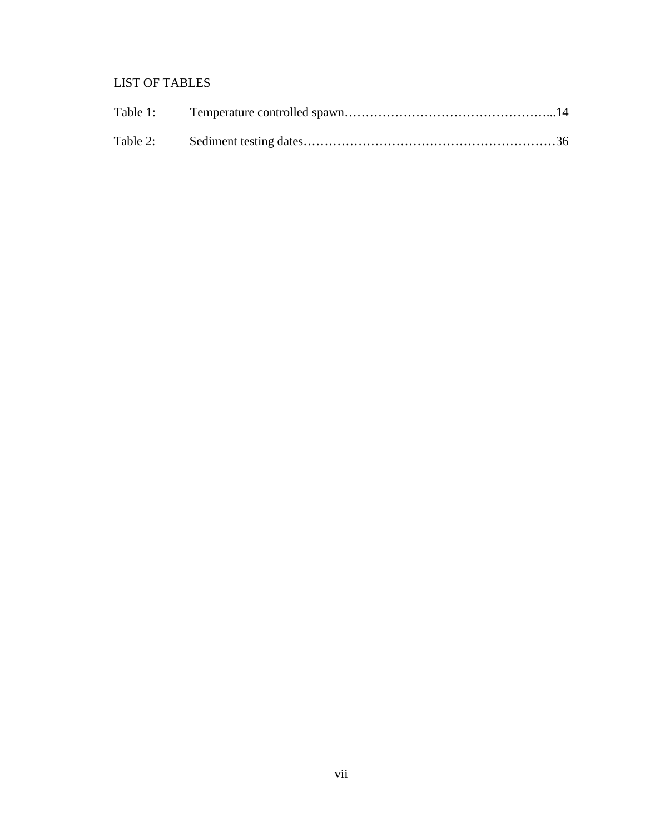# LIST OF TABLES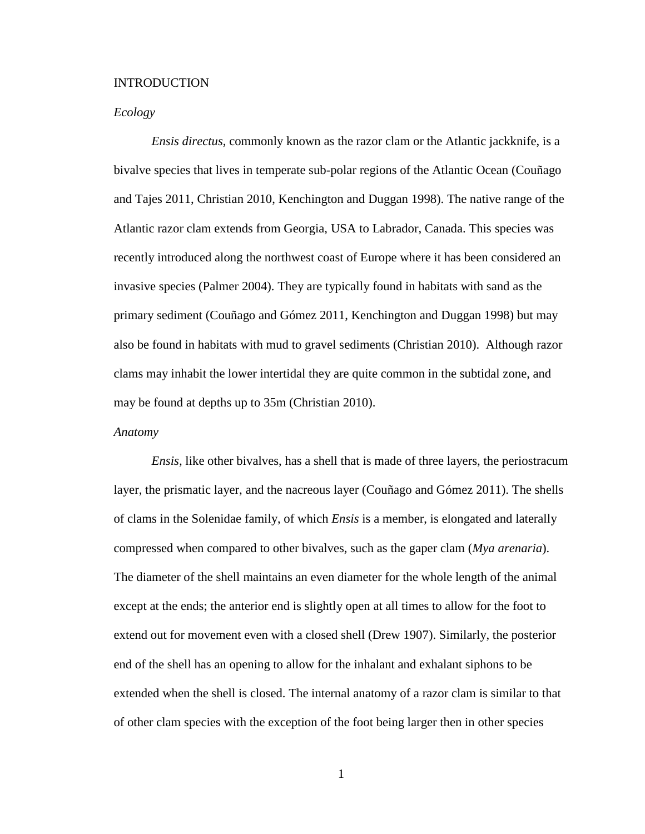#### INTRODUCTION

# *Ecology*

*Ensis directus*, commonly known as the razor clam or the Atlantic jackknife, is a bivalve species that lives in temperate sub-polar regions of the Atlantic Ocean (Couñago and Tajes 2011, Christian 2010, Kenchington and Duggan 1998). The native range of the Atlantic razor clam extends from Georgia, USA to Labrador, Canada. This species was recently introduced along the northwest coast of Europe where it has been considered an invasive species (Palmer 2004). They are typically found in habitats with sand as the primary sediment (Couñago and Gómez 2011, Kenchington and Duggan 1998) but may also be found in habitats with mud to gravel sediments (Christian 2010). Although razor clams may inhabit the lower intertidal they are quite common in the subtidal zone, and may be found at depths up to 35m (Christian 2010).

## *Anatomy*

*Ensis,* like other bivalves, has a shell that is made of three layers, the periostracum layer, the prismatic layer, and the nacreous layer (Couñago and Gómez 2011). The shells of clams in the Solenidae family, of which *Ensis* is a member, is elongated and laterally compressed when compared to other bivalves, such as the gaper clam (*Mya arenaria*). The diameter of the shell maintains an even diameter for the whole length of the animal except at the ends; the anterior end is slightly open at all times to allow for the foot to extend out for movement even with a closed shell (Drew 1907). Similarly, the posterior end of the shell has an opening to allow for the inhalant and exhalant siphons to be extended when the shell is closed. The internal anatomy of a razor clam is similar to that of other clam species with the exception of the foot being larger then in other species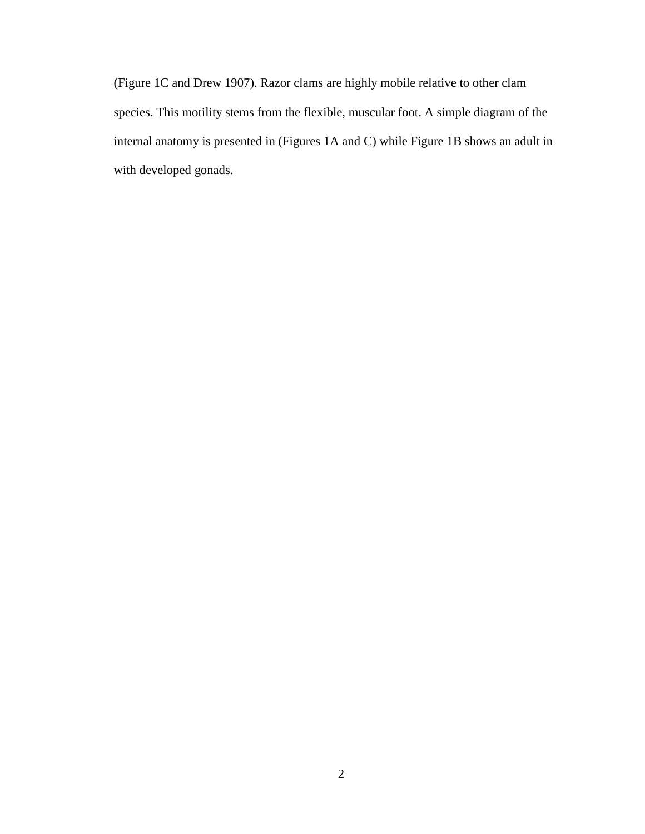(Figure 1C and Drew 1907). Razor clams are highly mobile relative to other clam species. This motility stems from the flexible, muscular foot. A simple diagram of the internal anatomy is presented in (Figures 1A and C) while Figure 1B shows an adult in with developed gonads.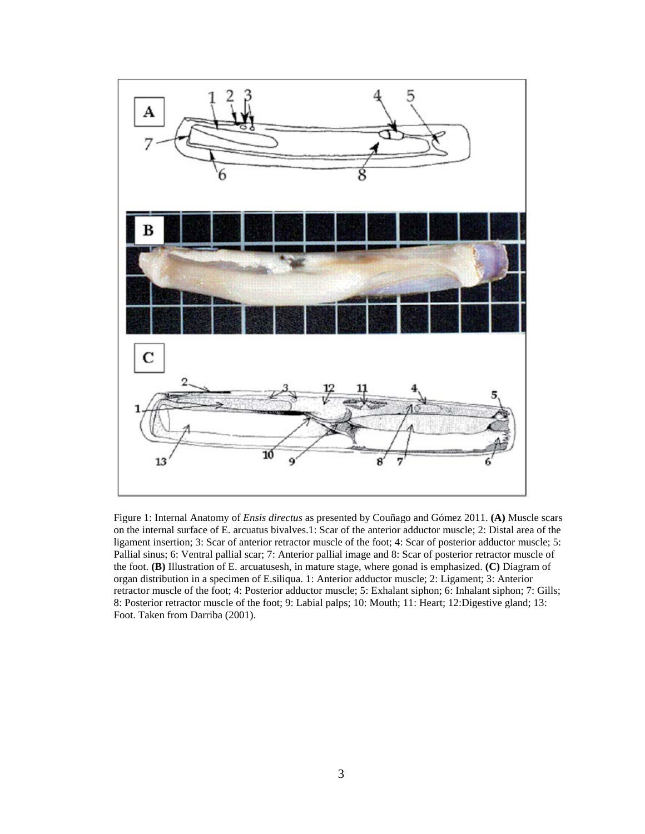

Figure 1: Internal Anatomy of *Ensis directus* as presented by Couñago and Gómez 2011. **(A)** Muscle scars on the internal surface of E. arcuatus bivalves.1: Scar of the anterior adductor muscle; 2: Distal area of the ligament insertion; 3: Scar of anterior retractor muscle of the foot; 4: Scar of posterior adductor muscle; 5: Pallial sinus; 6: Ventral pallial scar; 7: Anterior pallial image and 8: Scar of posterior retractor muscle of the foot. **(B)** Illustration of E. arcuatusesh, in mature stage, where gonad is emphasized. **(C)** Diagram of organ distribution in a specimen of E.siliqua. 1: Anterior adductor muscle; 2: Ligament; 3: Anterior retractor muscle of the foot; 4: Posterior adductor muscle; 5: Exhalant siphon; 6: Inhalant siphon; 7: Gills; 8: Posterior retractor muscle of the foot; 9: Labial palps; 10: Mouth; 11: Heart; 12:Digestive gland; 13: Foot. Taken from Darriba (2001).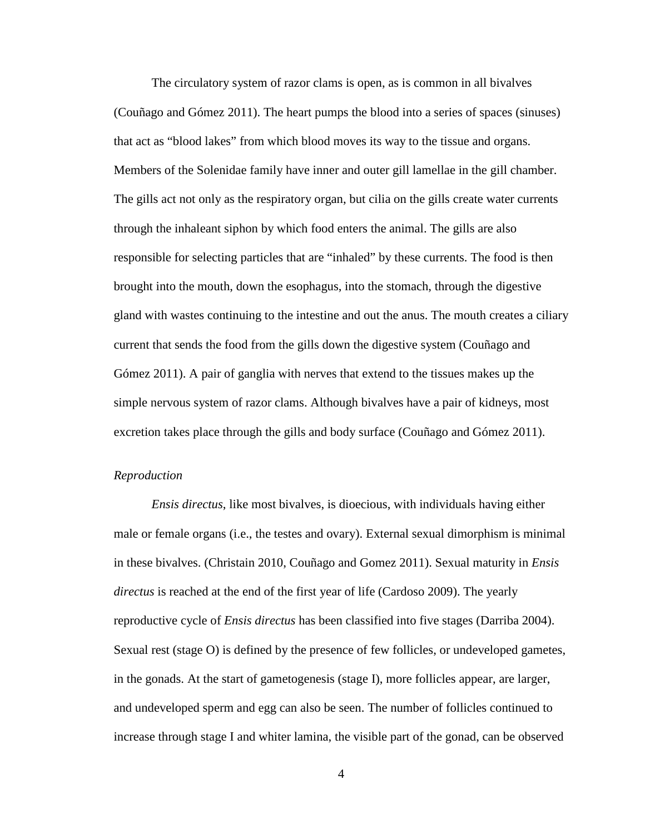The circulatory system of razor clams is open, as is common in all bivalves (Couñago and Gómez 2011). The heart pumps the blood into a series of spaces (sinuses) that act as "blood lakes" from which blood moves its way to the tissue and organs. Members of the Solenidae family have inner and outer gill lamellae in the gill chamber. The gills act not only as the respiratory organ, but cilia on the gills create water currents through the inhaleant siphon by which food enters the animal. The gills are also responsible for selecting particles that are "inhaled" by these currents. The food is then brought into the mouth, down the esophagus, into the stomach, through the digestive gland with wastes continuing to the intestine and out the anus. The mouth creates a ciliary current that sends the food from the gills down the digestive system (Couñago and Gómez 2011). A pair of ganglia with nerves that extend to the tissues makes up the simple nervous system of razor clams. Although bivalves have a pair of kidneys, most excretion takes place through the gills and body surface (Couñago and Gómez 2011).

# *Reproduction*

*Ensis directus*, like most bivalves, is dioecious, with individuals having either male or female organs (i.e., the testes and ovary). External sexual dimorphism is minimal in these bivalves. (Christain 2010, Couñago and Gomez 2011). Sexual maturity in *Ensis directus* is reached at the end of the first year of life (Cardoso 2009). The yearly reproductive cycle of *Ensis directus* has been classified into five stages (Darriba 2004). Sexual rest (stage O) is defined by the presence of few follicles, or undeveloped gametes, in the gonads. At the start of gametogenesis (stage I), more follicles appear, are larger, and undeveloped sperm and egg can also be seen. The number of follicles continued to increase through stage I and whiter lamina, the visible part of the gonad, can be observed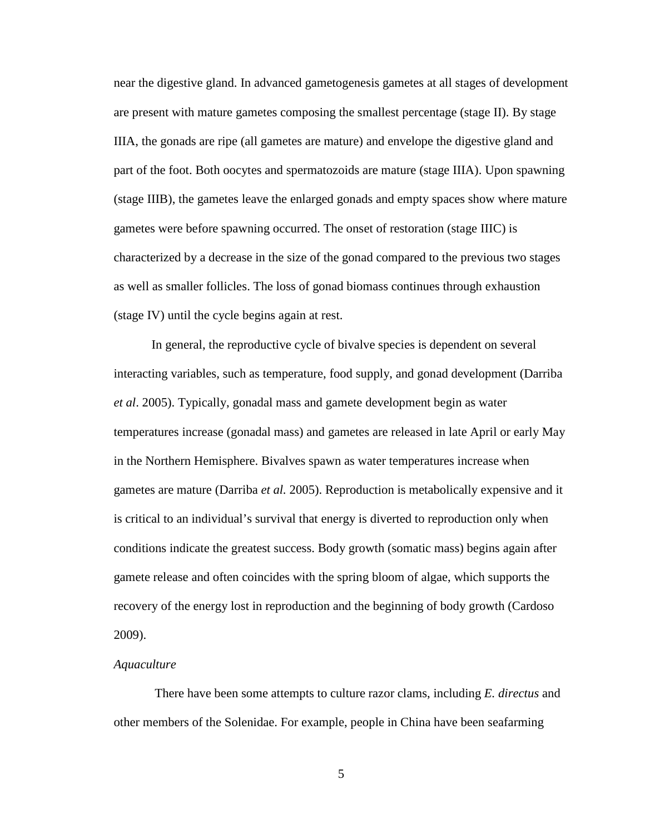near the digestive gland. In advanced gametogenesis gametes at all stages of development are present with mature gametes composing the smallest percentage (stage II). By stage IIIA, the gonads are ripe (all gametes are mature) and envelope the digestive gland and part of the foot. Both oocytes and spermatozoids are mature (stage IIIA). Upon spawning (stage IIIB), the gametes leave the enlarged gonads and empty spaces show where mature gametes were before spawning occurred. The onset of restoration (stage IIIC) is characterized by a decrease in the size of the gonad compared to the previous two stages as well as smaller follicles. The loss of gonad biomass continues through exhaustion (stage IV) until the cycle begins again at rest.

In general, the reproductive cycle of bivalve species is dependent on several interacting variables, such as temperature, food supply, and gonad development (Darriba *et al*. 2005). Typically, gonadal mass and gamete development begin as water temperatures increase (gonadal mass) and gametes are released in late April or early May in the Northern Hemisphere. Bivalves spawn as water temperatures increase when gametes are mature (Darriba *et al.* 2005). Reproduction is metabolically expensive and it is critical to an individual's survival that energy is diverted to reproduction only when conditions indicate the greatest success. Body growth (somatic mass) begins again after gamete release and often coincides with the spring bloom of algae, which supports the recovery of the energy lost in reproduction and the beginning of body growth (Cardoso 2009).

#### *Aquaculture*

There have been some attempts to culture razor clams, including *E. directus* and other members of the Solenidae. For example, people in China have been seafarming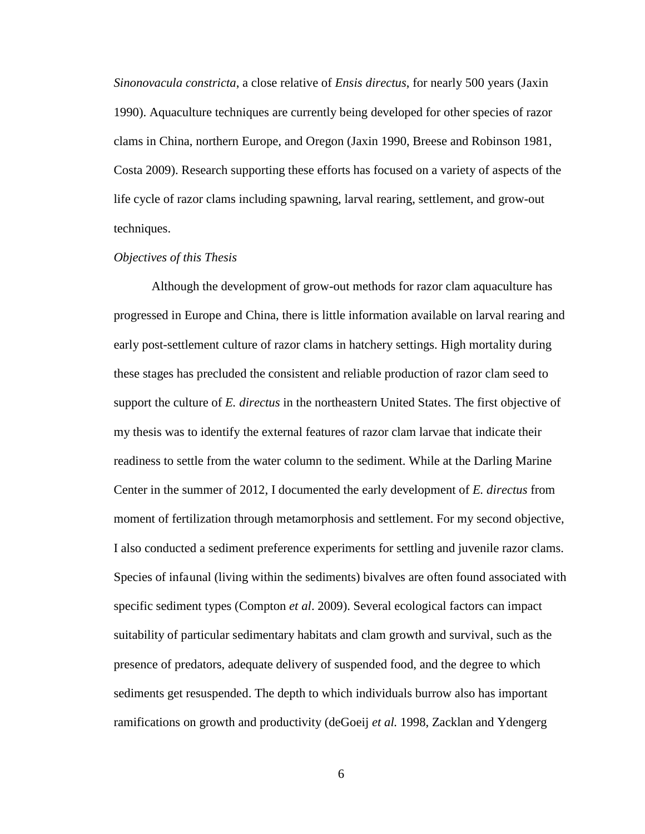*Sinonovacula constricta*, a close relative of *Ensis directus*, for nearly 500 years (Jaxin 1990). Aquaculture techniques are currently being developed for other species of razor clams in China, northern Europe, and Oregon (Jaxin 1990, Breese and Robinson 1981, Costa 2009). Research supporting these efforts has focused on a variety of aspects of the life cycle of razor clams including spawning, larval rearing, settlement, and grow-out techniques.

# *Objectives of this Thesis*

Although the development of grow-out methods for razor clam aquaculture has progressed in Europe and China, there is little information available on larval rearing and early post-settlement culture of razor clams in hatchery settings. High mortality during these stages has precluded the consistent and reliable production of razor clam seed to support the culture of *E. directus* in the northeastern United States. The first objective of my thesis was to identify the external features of razor clam larvae that indicate their readiness to settle from the water column to the sediment. While at the Darling Marine Center in the summer of 2012, I documented the early development of *E. directus* from moment of fertilization through metamorphosis and settlement. For my second objective, I also conducted a sediment preference experiments for settling and juvenile razor clams. Species of infaunal (living within the sediments) bivalves are often found associated with specific sediment types (Compton *et al*. 2009). Several ecological factors can impact suitability of particular sedimentary habitats and clam growth and survival, such as the presence of predators, adequate delivery of suspended food, and the degree to which sediments get resuspended. The depth to which individuals burrow also has important ramifications on growth and productivity (deGoeij *et al.* 1998, Zacklan and Ydengerg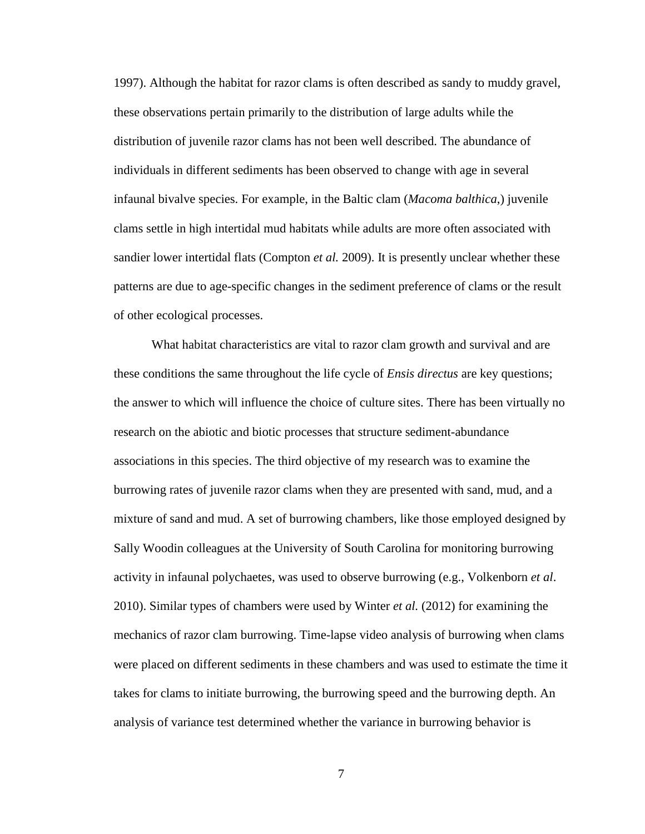1997). Although the habitat for razor clams is often described as sandy to muddy gravel, these observations pertain primarily to the distribution of large adults while the distribution of juvenile razor clams has not been well described. The abundance of individuals in different sediments has been observed to change with age in several infaunal bivalve species. For example, in the Baltic clam (*Macoma balthica*,) juvenile clams settle in high intertidal mud habitats while adults are more often associated with sandier lower intertidal flats (Compton *et al.* 2009). It is presently unclear whether these patterns are due to age-specific changes in the sediment preference of clams or the result of other ecological processes.

What habitat characteristics are vital to razor clam growth and survival and are these conditions the same throughout the life cycle of *Ensis directus* are key questions; the answer to which will influence the choice of culture sites. There has been virtually no research on the abiotic and biotic processes that structure sediment-abundance associations in this species. The third objective of my research was to examine the burrowing rates of juvenile razor clams when they are presented with sand, mud, and a mixture of sand and mud. A set of burrowing chambers, like those employed designed by Sally Woodin colleagues at the University of South Carolina for monitoring burrowing activity in infaunal polychaetes, was used to observe burrowing (e.g., Volkenborn *et al*. 2010). Similar types of chambers were used by Winter *et al.* (2012) for examining the mechanics of razor clam burrowing. Time-lapse video analysis of burrowing when clams were placed on different sediments in these chambers and was used to estimate the time it takes for clams to initiate burrowing, the burrowing speed and the burrowing depth. An analysis of variance test determined whether the variance in burrowing behavior is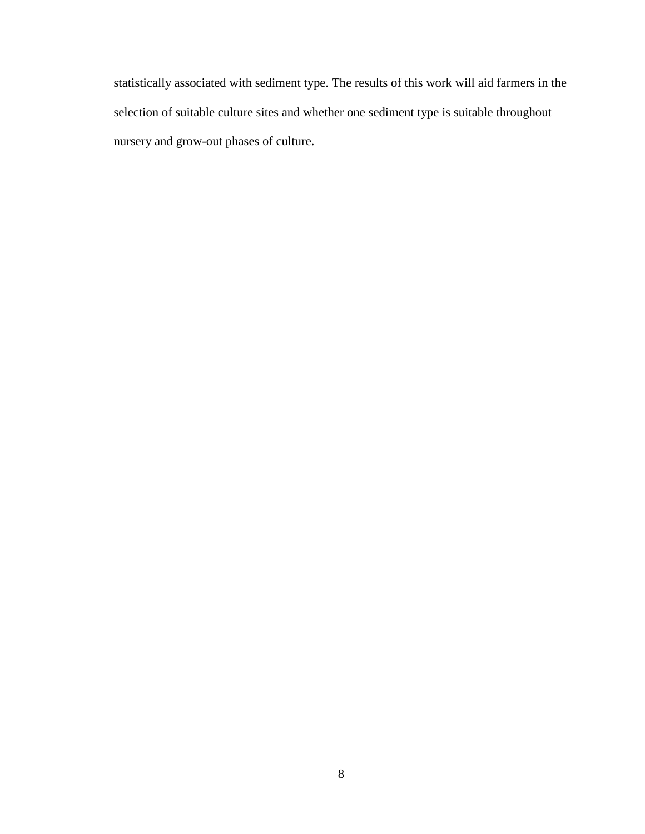statistically associated with sediment type. The results of this work will aid farmers in the selection of suitable culture sites and whether one sediment type is suitable throughout nursery and grow-out phases of culture.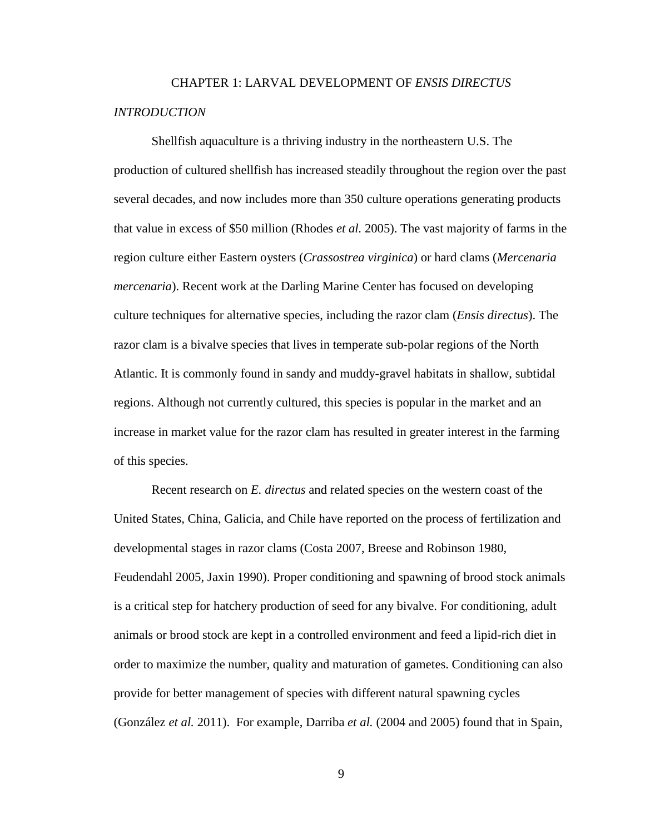# CHAPTER 1: LARVAL DEVELOPMENT OF *ENSIS DIRECTUS INTRODUCTION*

Shellfish aquaculture is a thriving industry in the northeastern U.S. The production of cultured shellfish has increased steadily throughout the region over the past several decades, and now includes more than 350 culture operations generating products that value in excess of \$50 million (Rhodes *et al.* 2005). The vast majority of farms in the region culture either Eastern oysters (*Crassostrea virginica*) or hard clams (*Mercenaria mercenaria*). Recent work at the Darling Marine Center has focused on developing culture techniques for alternative species, including the razor clam (*Ensis directus*). The razor clam is a bivalve species that lives in temperate sub-polar regions of the North Atlantic. It is commonly found in sandy and muddy-gravel habitats in shallow, subtidal regions. Although not currently cultured, this species is popular in the market and an increase in market value for the razor clam has resulted in greater interest in the farming of this species.

Recent research on *E. directus* and related species on the western coast of the United States, China, Galicia, and Chile have reported on the process of fertilization and developmental stages in razor clams (Costa 2007, Breese and Robinson 1980, Feudendahl 2005, Jaxin 1990). Proper conditioning and spawning of brood stock animals is a critical step for hatchery production of seed for any bivalve. For conditioning, adult animals or brood stock are kept in a controlled environment and feed a lipid-rich diet in order to maximize the number, quality and maturation of gametes. Conditioning can also provide for better management of species with different natural spawning cycles (González *et al.* 2011). For example, Darriba *et al.* (2004 and 2005) found that in Spain,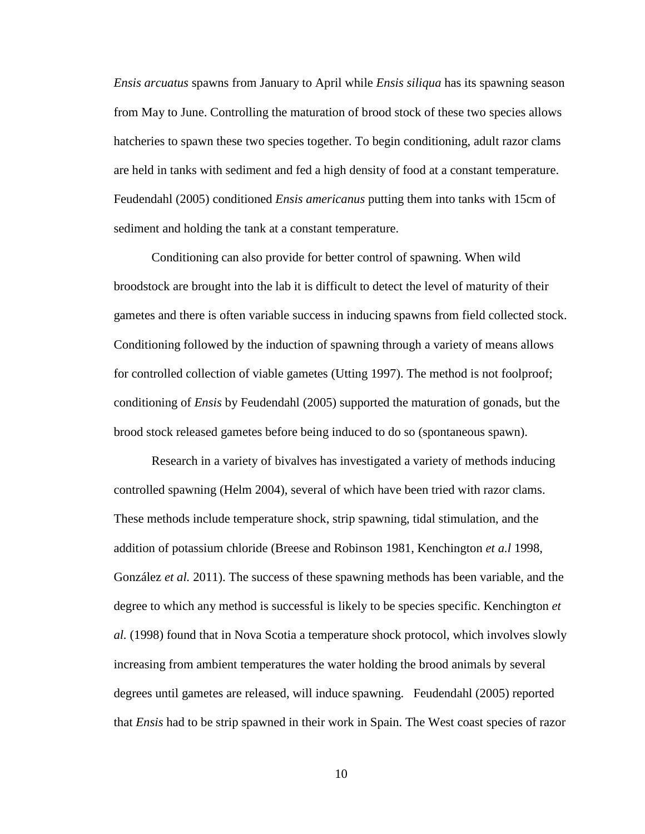*Ensis arcuatus* spawns from January to April while *Ensis siliqua* has its spawning season from May to June. Controlling the maturation of brood stock of these two species allows hatcheries to spawn these two species together. To begin conditioning, adult razor clams are held in tanks with sediment and fed a high density of food at a constant temperature. Feudendahl (2005) conditioned *Ensis americanus* putting them into tanks with 15cm of sediment and holding the tank at a constant temperature.

Conditioning can also provide for better control of spawning. When wild broodstock are brought into the lab it is difficult to detect the level of maturity of their gametes and there is often variable success in inducing spawns from field collected stock. Conditioning followed by the induction of spawning through a variety of means allows for controlled collection of viable gametes (Utting 1997). The method is not foolproof; conditioning of *Ensis* by Feudendahl (2005) supported the maturation of gonads, but the brood stock released gametes before being induced to do so (spontaneous spawn).

Research in a variety of bivalves has investigated a variety of methods inducing controlled spawning (Helm 2004), several of which have been tried with razor clams. These methods include temperature shock, strip spawning, tidal stimulation, and the addition of potassium chloride (Breese and Robinson 1981, Kenchington *et a.l* 1998, González *et al.* 2011). The success of these spawning methods has been variable, and the degree to which any method is successful is likely to be species specific. Kenchington *et al.* (1998) found that in Nova Scotia a temperature shock protocol, which involves slowly increasing from ambient temperatures the water holding the brood animals by several degrees until gametes are released, will induce spawning. Feudendahl (2005) reported that *Ensis* had to be strip spawned in their work in Spain. The West coast species of razor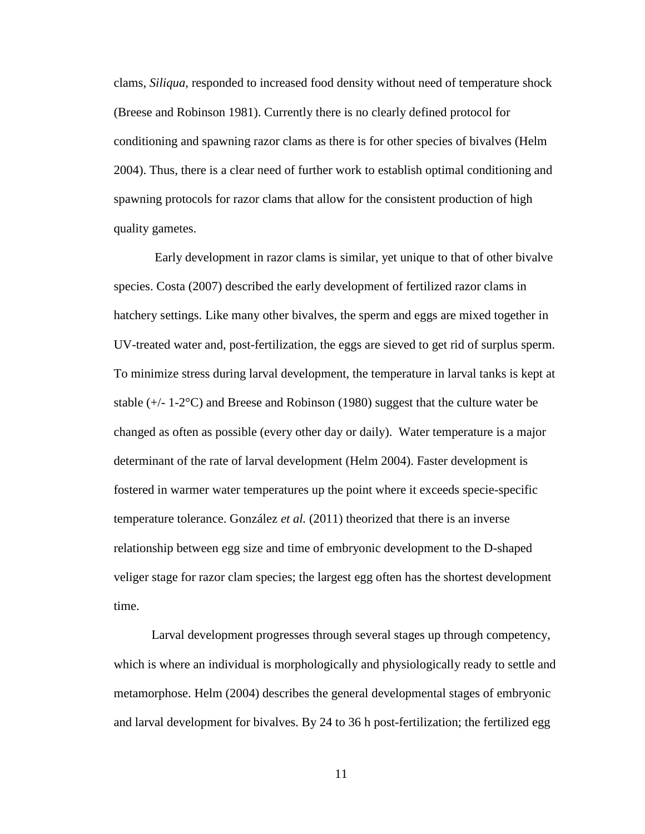clams, *Siliqua,* responded to increased food density without need of temperature shock (Breese and Robinson 1981). Currently there is no clearly defined protocol for conditioning and spawning razor clams as there is for other species of bivalves (Helm 2004). Thus, there is a clear need of further work to establish optimal conditioning and spawning protocols for razor clams that allow for the consistent production of high quality gametes.

Early development in razor clams is similar, yet unique to that of other bivalve species. Costa (2007) described the early development of fertilized razor clams in hatchery settings. Like many other bivalves, the sperm and eggs are mixed together in UV-treated water and, post-fertilization, the eggs are sieved to get rid of surplus sperm. To minimize stress during larval development, the temperature in larval tanks is kept at stable  $(+/- 1-2°C)$  and Breese and Robinson (1980) suggest that the culture water be changed as often as possible (every other day or daily). Water temperature is a major determinant of the rate of larval development (Helm 2004). Faster development is fostered in warmer water temperatures up the point where it exceeds specie-specific temperature tolerance. González *et al.* (2011) theorized that there is an inverse relationship between egg size and time of embryonic development to the D-shaped veliger stage for razor clam species; the largest egg often has the shortest development time.

Larval development progresses through several stages up through competency, which is where an individual is morphologically and physiologically ready to settle and metamorphose. Helm (2004) describes the general developmental stages of embryonic and larval development for bivalves. By 24 to 36 h post-fertilization; the fertilized egg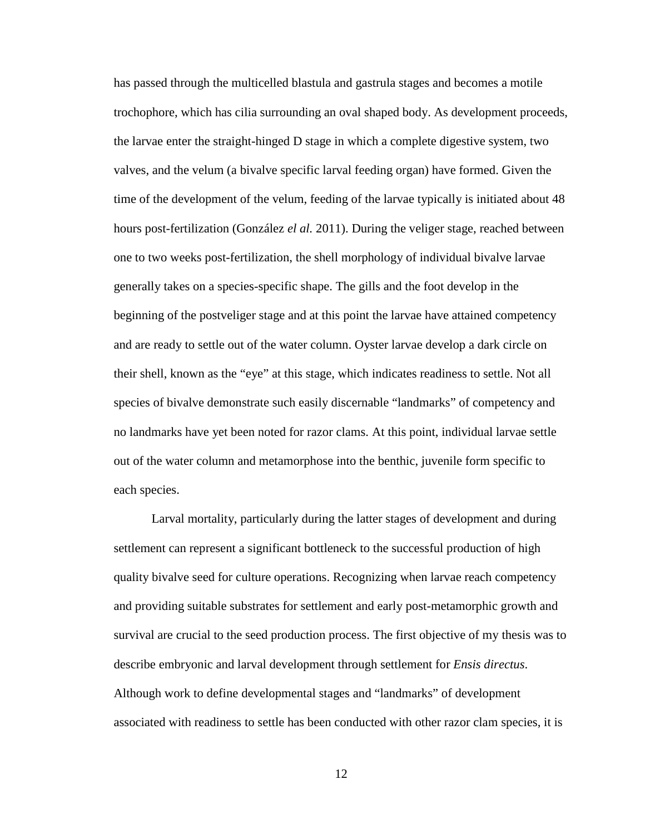has passed through the multicelled blastula and gastrula stages and becomes a motile trochophore, which has cilia surrounding an oval shaped body. As development proceeds, the larvae enter the straight-hinged D stage in which a complete digestive system, two valves, and the velum (a bivalve specific larval feeding organ) have formed. Given the time of the development of the velum, feeding of the larvae typically is initiated about 48 hours post-fertilization (González *el al.* 2011). During the veliger stage, reached between one to two weeks post-fertilization, the shell morphology of individual bivalve larvae generally takes on a species-specific shape. The gills and the foot develop in the beginning of the postveliger stage and at this point the larvae have attained competency and are ready to settle out of the water column. Oyster larvae develop a dark circle on their shell, known as the "eye" at this stage, which indicates readiness to settle. Not all species of bivalve demonstrate such easily discernable "landmarks" of competency and no landmarks have yet been noted for razor clams. At this point, individual larvae settle out of the water column and metamorphose into the benthic, juvenile form specific to each species.

Larval mortality, particularly during the latter stages of development and during settlement can represent a significant bottleneck to the successful production of high quality bivalve seed for culture operations. Recognizing when larvae reach competency and providing suitable substrates for settlement and early post-metamorphic growth and survival are crucial to the seed production process. The first objective of my thesis was to describe embryonic and larval development through settlement for *Ensis directus*. Although work to define developmental stages and "landmarks" of development associated with readiness to settle has been conducted with other razor clam species, it is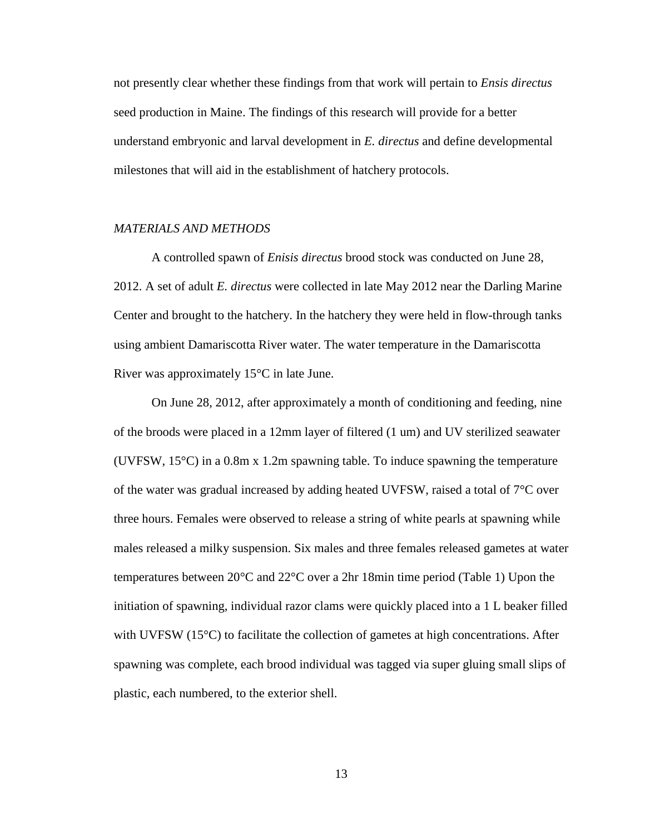not presently clear whether these findings from that work will pertain to *Ensis directus* seed production in Maine. The findings of this research will provide for a better understand embryonic and larval development in *E. directus* and define developmental milestones that will aid in the establishment of hatchery protocols.

#### *MATERIALS AND METHODS*

A controlled spawn of *Enisis directus* brood stock was conducted on June 28, 2012. A set of adult *E. directus* were collected in late May 2012 near the Darling Marine Center and brought to the hatchery. In the hatchery they were held in flow-through tanks using ambient Damariscotta River water. The water temperature in the Damariscotta River was approximately 15°C in late June.

On June 28, 2012, after approximately a month of conditioning and feeding, nine of the broods were placed in a 12mm layer of filtered (1 um) and UV sterilized seawater (UVFSW, 15°C) in a 0.8m x 1.2m spawning table. To induce spawning the temperature of the water was gradual increased by adding heated UVFSW, raised a total of 7°C over three hours. Females were observed to release a string of white pearls at spawning while males released a milky suspension. Six males and three females released gametes at water temperatures between 20°C and 22°C over a 2hr 18min time period (Table 1) Upon the initiation of spawning, individual razor clams were quickly placed into a 1 L beaker filled with UVFSW  $(15^{\circ}C)$  to facilitate the collection of gametes at high concentrations. After spawning was complete, each brood individual was tagged via super gluing small slips of plastic, each numbered, to the exterior shell.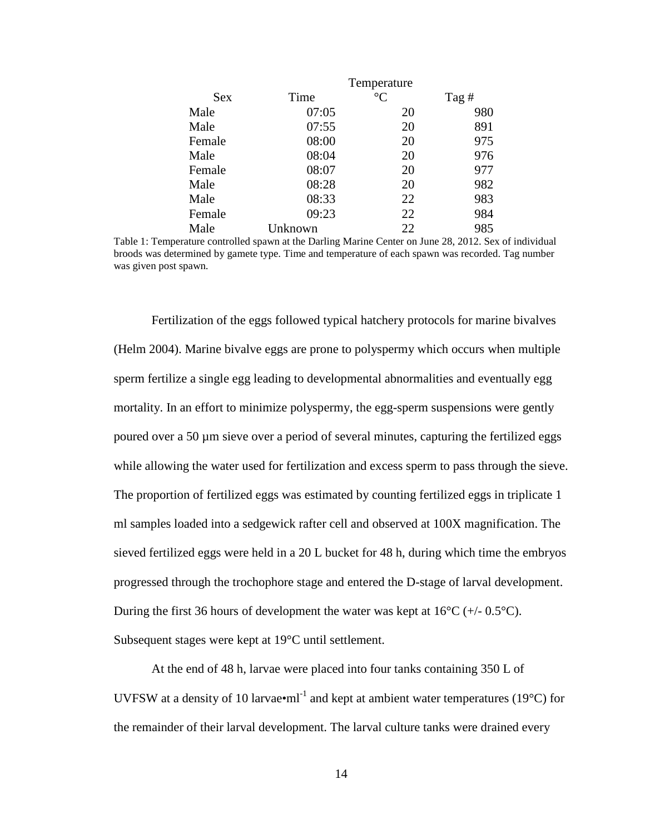|        |         | Temperature     |       |
|--------|---------|-----------------|-------|
| Sex    | Time    | $\rm ^{\circ}C$ | Tag # |
| Male   | 07:05   | 20              | 980   |
| Male   | 07:55   | 20              | 891   |
| Female | 08:00   | 20              | 975   |
| Male   | 08:04   | 20              | 976   |
| Female | 08:07   | 20              | 977   |
| Male   | 08:28   | 20              | 982   |
| Male   | 08:33   | 22              | 983   |
| Female | 09:23   | 22              | 984   |
| Male   | Unknown | 22              | 985   |

Table 1: Temperature controlled spawn at the Darling Marine Center on June 28, 2012. Sex of individual broods was determined by gamete type. Time and temperature of each spawn was recorded. Tag number was given post spawn.

Fertilization of the eggs followed typical hatchery protocols for marine bivalves (Helm 2004). Marine bivalve eggs are prone to polyspermy which occurs when multiple sperm fertilize a single egg leading to developmental abnormalities and eventually egg mortality. In an effort to minimize polyspermy, the egg-sperm suspensions were gently poured over a 50 µm sieve over a period of several minutes, capturing the fertilized eggs while allowing the water used for fertilization and excess sperm to pass through the sieve. The proportion of fertilized eggs was estimated by counting fertilized eggs in triplicate 1 ml samples loaded into a sedgewick rafter cell and observed at 100X magnification. The sieved fertilized eggs were held in a 20 L bucket for 48 h, during which time the embryos progressed through the trochophore stage and entered the D-stage of larval development. During the first 36 hours of development the water was kept at  $16^{\circ}C$  (+/- 0.5 $^{\circ}C$ ). Subsequent stages were kept at 19°C until settlement.

At the end of 48 h, larvae were placed into four tanks containing 350 L of UVFSW at a density of 10 larvae $\bullet$ ml<sup>-1</sup> and kept at ambient water temperatures (19 $\degree$ C) for the remainder of their larval development. The larval culture tanks were drained every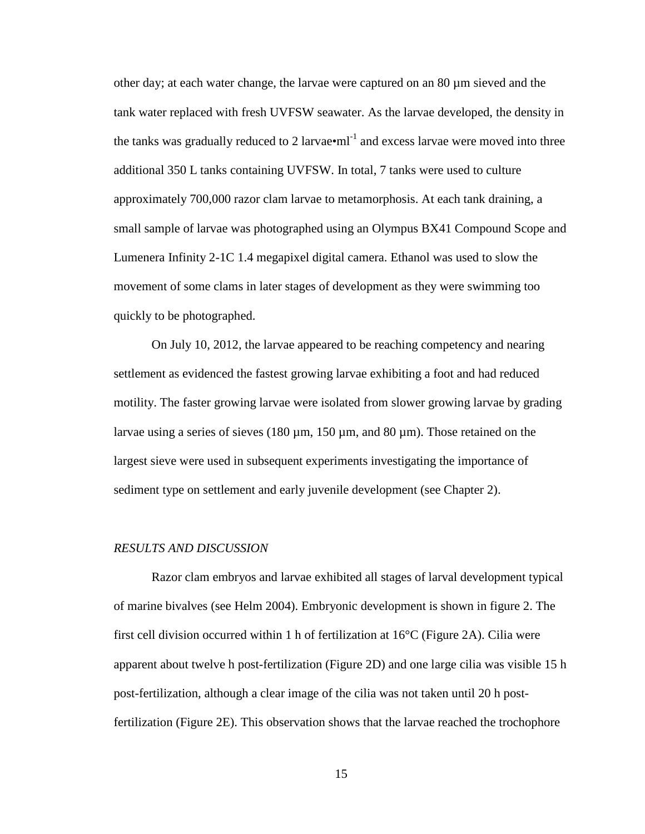other day; at each water change, the larvae were captured on an 80 µm sieved and the tank water replaced with fresh UVFSW seawater. As the larvae developed, the density in the tanks was gradually reduced to 2 larvae $\bullet$ ml<sup>-1</sup> and excess larvae were moved into three additional 350 L tanks containing UVFSW. In total, 7 tanks were used to culture approximately 700,000 razor clam larvae to metamorphosis. At each tank draining, a small sample of larvae was photographed using an Olympus BX41 Compound Scope and Lumenera Infinity 2-1C 1.4 megapixel digital camera. Ethanol was used to slow the movement of some clams in later stages of development as they were swimming too quickly to be photographed.

On July 10, 2012, the larvae appeared to be reaching competency and nearing settlement as evidenced the fastest growing larvae exhibiting a foot and had reduced motility. The faster growing larvae were isolated from slower growing larvae by grading larvae using a series of sieves  $(180 \,\mu m, 150 \,\mu m,$  and  $80 \,\mu m)$ . Those retained on the largest sieve were used in subsequent experiments investigating the importance of sediment type on settlement and early juvenile development (see Chapter 2).

#### *RESULTS AND DISCUSSION*

Razor clam embryos and larvae exhibited all stages of larval development typical of marine bivalves (see Helm 2004). Embryonic development is shown in figure 2. The first cell division occurred within 1 h of fertilization at 16°C (Figure 2A). Cilia were apparent about twelve h post-fertilization (Figure 2D) and one large cilia was visible 15 h post-fertilization, although a clear image of the cilia was not taken until 20 h postfertilization (Figure 2E). This observation shows that the larvae reached the trochophore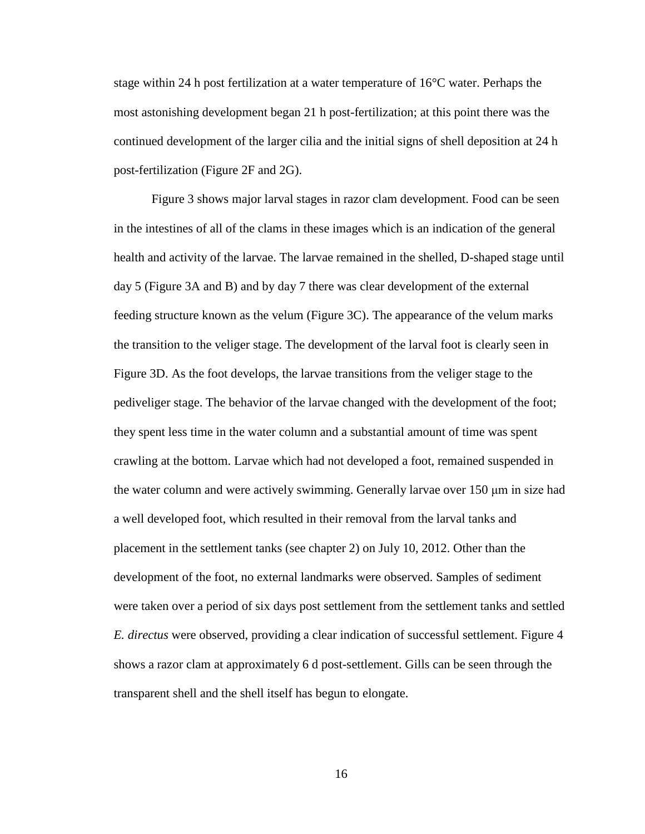stage within 24 h post fertilization at a water temperature of 16°C water. Perhaps the most astonishing development began 21 h post-fertilization; at this point there was the continued development of the larger cilia and the initial signs of shell deposition at 24 h post-fertilization (Figure 2F and 2G).

Figure 3 shows major larval stages in razor clam development. Food can be seen in the intestines of all of the clams in these images which is an indication of the general health and activity of the larvae. The larvae remained in the shelled, D-shaped stage until day 5 (Figure 3A and B) and by day 7 there was clear development of the external feeding structure known as the velum (Figure 3C). The appearance of the velum marks the transition to the veliger stage. The development of the larval foot is clearly seen in Figure 3D. As the foot develops, the larvae transitions from the veliger stage to the pediveliger stage. The behavior of the larvae changed with the development of the foot; they spent less time in the water column and a substantial amount of time was spent crawling at the bottom. Larvae which had not developed a foot, remained suspended in the water column and were actively swimming. Generally larvae over 150 μm in size had a well developed foot, which resulted in their removal from the larval tanks and placement in the settlement tanks (see chapter 2) on July 10, 2012. Other than the development of the foot, no external landmarks were observed. Samples of sediment were taken over a period of six days post settlement from the settlement tanks and settled *E. directus* were observed, providing a clear indication of successful settlement. Figure 4 shows a razor clam at approximately 6 d post-settlement. Gills can be seen through the transparent shell and the shell itself has begun to elongate.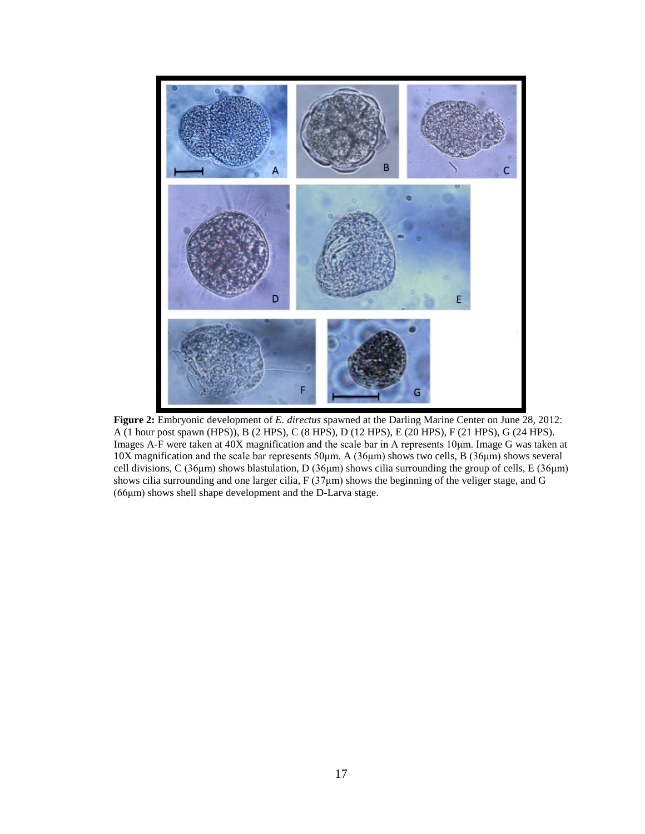

**Figure 2:** Embryonic development of *E. directus* spawned at the Darling Marine Center on June 28, 2012: A (1 hour post spawn (HPS)), B (2 HPS), C (8 HPS), D (12 HPS), E (20 HPS), F (21 HPS), G (24 HPS). Images A-F were taken at 40X magnification and the scale bar in A represents 10μm. Image G was taken at 10X magnification and the scale bar represents 50μm. A (36μm) shows two cells, B (36μm) shows several cell divisions, C (36μm) shows blastulation, D (36μm) shows cilia surrounding the group of cells, E (36μm) shows cilia surrounding and one larger cilia, F (37μm) shows the beginning of the veliger stage, and G (66μm) shows shell shape development and the D-Larva stage.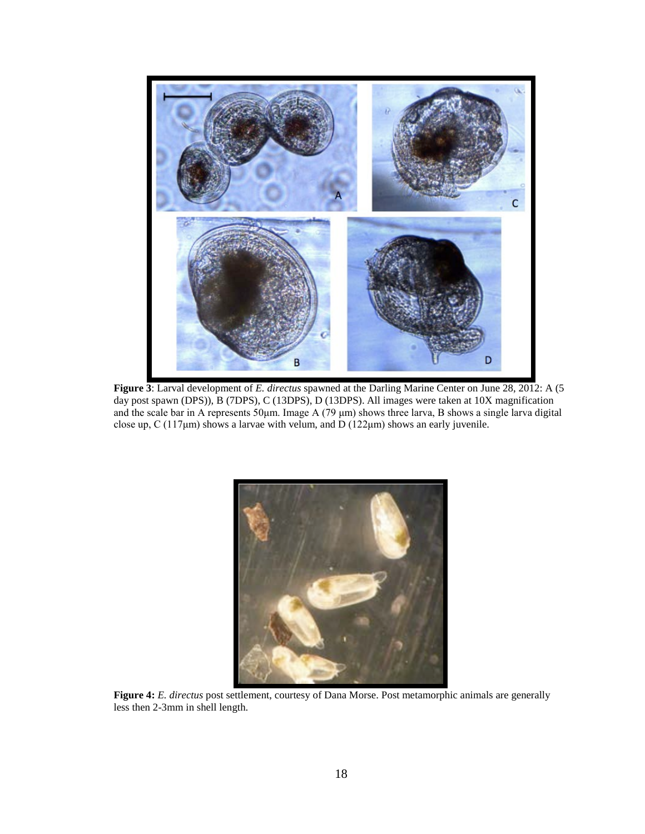

**Figure 3**: Larval development of *E. directus* spawned at the Darling Marine Center on June 28, 2012: A (5 day post spawn (DPS)), B (7DPS), C (13DPS), D (13DPS). All images were taken at 10X magnification and the scale bar in A represents 50μm. Image A (79 μm) shows three larva, B shows a single larva digital close up,  $C(117\mu m)$  shows a larvae with velum, and  $D(122\mu m)$  shows an early juvenile.



**Figure 4:** *E. directus* post settlement, courtesy of Dana Morse. Post metamorphic animals are generally less then 2-3mm in shell length.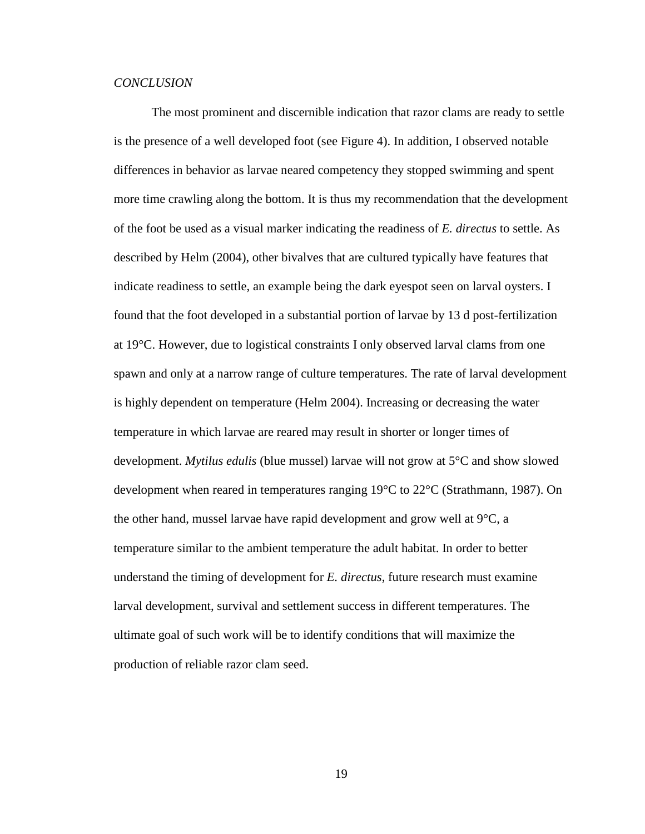#### *CONCLUSION*

The most prominent and discernible indication that razor clams are ready to settle is the presence of a well developed foot (see Figure 4). In addition, I observed notable differences in behavior as larvae neared competency they stopped swimming and spent more time crawling along the bottom. It is thus my recommendation that the development of the foot be used as a visual marker indicating the readiness of *E. directus* to settle. As described by Helm (2004), other bivalves that are cultured typically have features that indicate readiness to settle, an example being the dark eyespot seen on larval oysters. I found that the foot developed in a substantial portion of larvae by 13 d post-fertilization at 19°C. However, due to logistical constraints I only observed larval clams from one spawn and only at a narrow range of culture temperatures. The rate of larval development is highly dependent on temperature (Helm 2004). Increasing or decreasing the water temperature in which larvae are reared may result in shorter or longer times of development. *Mytilus edulis* (blue mussel) larvae will not grow at 5°C and show slowed development when reared in temperatures ranging 19°C to 22°C (Strathmann, 1987). On the other hand, mussel larvae have rapid development and grow well at 9°C, a temperature similar to the ambient temperature the adult habitat. In order to better understand the timing of development for *E. directus*, future research must examine larval development, survival and settlement success in different temperatures. The ultimate goal of such work will be to identify conditions that will maximize the production of reliable razor clam seed.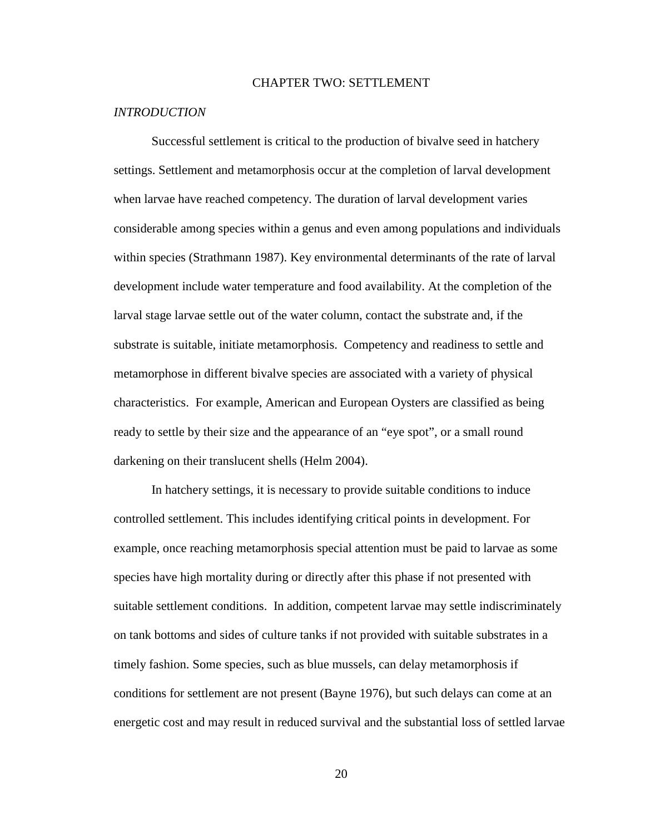# CHAPTER TWO: SETTLEMENT

## *INTRODUCTION*

Successful settlement is critical to the production of bivalve seed in hatchery settings. Settlement and metamorphosis occur at the completion of larval development when larvae have reached competency. The duration of larval development varies considerable among species within a genus and even among populations and individuals within species (Strathmann 1987). Key environmental determinants of the rate of larval development include water temperature and food availability. At the completion of the larval stage larvae settle out of the water column, contact the substrate and, if the substrate is suitable, initiate metamorphosis. Competency and readiness to settle and metamorphose in different bivalve species are associated with a variety of physical characteristics. For example, American and European Oysters are classified as being ready to settle by their size and the appearance of an "eye spot", or a small round darkening on their translucent shells (Helm 2004).

In hatchery settings, it is necessary to provide suitable conditions to induce controlled settlement. This includes identifying critical points in development. For example, once reaching metamorphosis special attention must be paid to larvae as some species have high mortality during or directly after this phase if not presented with suitable settlement conditions. In addition, competent larvae may settle indiscriminately on tank bottoms and sides of culture tanks if not provided with suitable substrates in a timely fashion. Some species, such as blue mussels, can delay metamorphosis if conditions for settlement are not present (Bayne 1976), but such delays can come at an energetic cost and may result in reduced survival and the substantial loss of settled larvae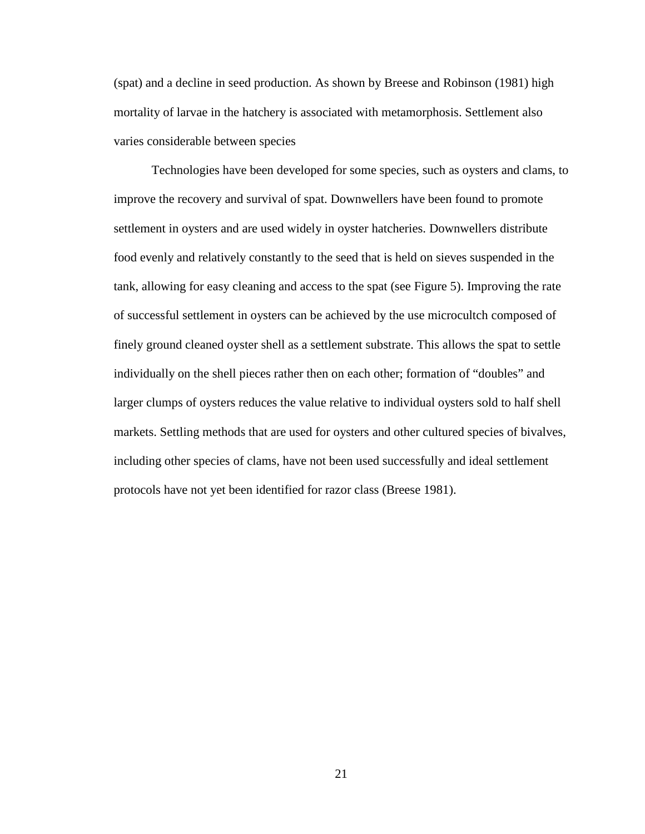(spat) and a decline in seed production. As shown by Breese and Robinson (1981) high mortality of larvae in the hatchery is associated with metamorphosis. Settlement also varies considerable between species

Technologies have been developed for some species, such as oysters and clams, to improve the recovery and survival of spat. Downwellers have been found to promote settlement in oysters and are used widely in oyster hatcheries. Downwellers distribute food evenly and relatively constantly to the seed that is held on sieves suspended in the tank, allowing for easy cleaning and access to the spat (see Figure 5). Improving the rate of successful settlement in oysters can be achieved by the use microcultch composed of finely ground cleaned oyster shell as a settlement substrate. This allows the spat to settle individually on the shell pieces rather then on each other; formation of "doubles" and larger clumps of oysters reduces the value relative to individual oysters sold to half shell markets. Settling methods that are used for oysters and other cultured species of bivalves, including other species of clams, have not been used successfully and ideal settlement protocols have not yet been identified for razor class (Breese 1981).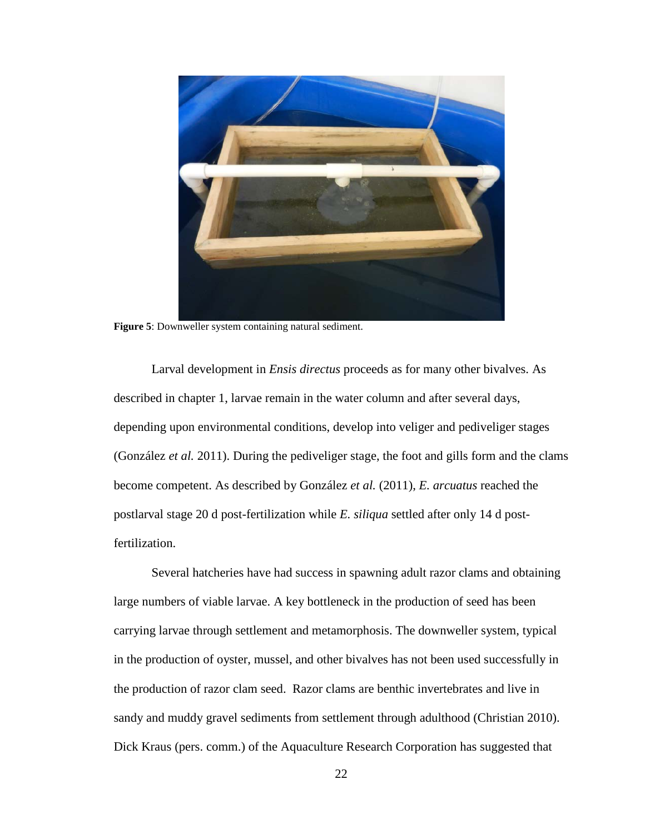

**Figure 5**: Downweller system containing natural sediment.

Larval development in *Ensis directus* proceeds as for many other bivalves. As described in chapter 1, larvae remain in the water column and after several days, depending upon environmental conditions, develop into veliger and pediveliger stages (González *et al.* 2011). During the pediveliger stage, the foot and gills form and the clams become competent. As described by González *et al.* (2011), *E. arcuatus* reached the postlarval stage 20 d post-fertilization while *E. siliqua* settled after only 14 d postfertilization.

Several hatcheries have had success in spawning adult razor clams and obtaining large numbers of viable larvae. A key bottleneck in the production of seed has been carrying larvae through settlement and metamorphosis. The downweller system, typical in the production of oyster, mussel, and other bivalves has not been used successfully in the production of razor clam seed. Razor clams are benthic invertebrates and live in sandy and muddy gravel sediments from settlement through adulthood (Christian 2010). Dick Kraus (pers. comm.) of the Aquaculture Research Corporation has suggested that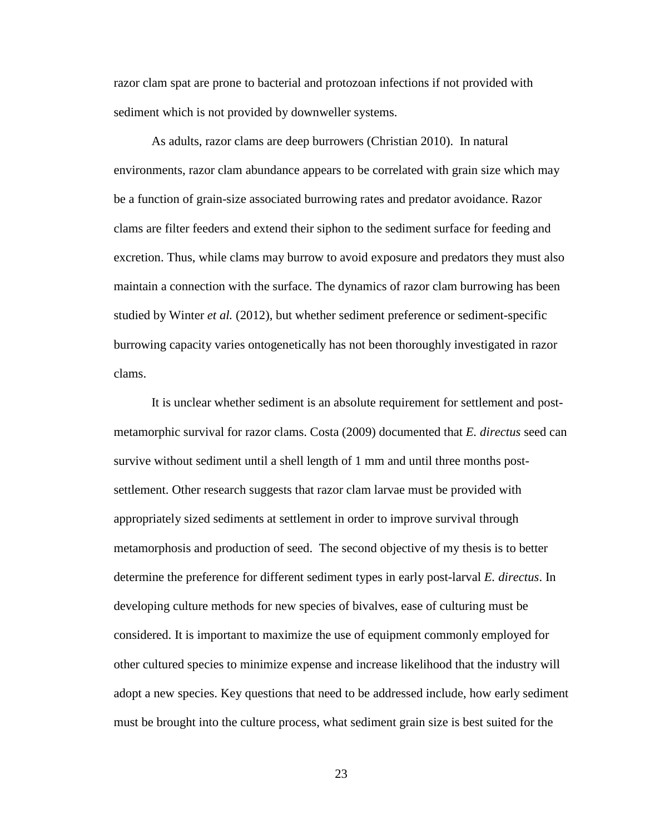razor clam spat are prone to bacterial and protozoan infections if not provided with sediment which is not provided by downweller systems.

As adults, razor clams are deep burrowers (Christian 2010). In natural environments, razor clam abundance appears to be correlated with grain size which may be a function of grain-size associated burrowing rates and predator avoidance. Razor clams are filter feeders and extend their siphon to the sediment surface for feeding and excretion. Thus, while clams may burrow to avoid exposure and predators they must also maintain a connection with the surface. The dynamics of razor clam burrowing has been studied by Winter *et al.* (2012), but whether sediment preference or sediment-specific burrowing capacity varies ontogenetically has not been thoroughly investigated in razor clams.

It is unclear whether sediment is an absolute requirement for settlement and postmetamorphic survival for razor clams. Costa (2009) documented that *E. directus* seed can survive without sediment until a shell length of 1 mm and until three months postsettlement. Other research suggests that razor clam larvae must be provided with appropriately sized sediments at settlement in order to improve survival through metamorphosis and production of seed. The second objective of my thesis is to better determine the preference for different sediment types in early post-larval *E. directus*. In developing culture methods for new species of bivalves, ease of culturing must be considered. It is important to maximize the use of equipment commonly employed for other cultured species to minimize expense and increase likelihood that the industry will adopt a new species. Key questions that need to be addressed include, how early sediment must be brought into the culture process, what sediment grain size is best suited for the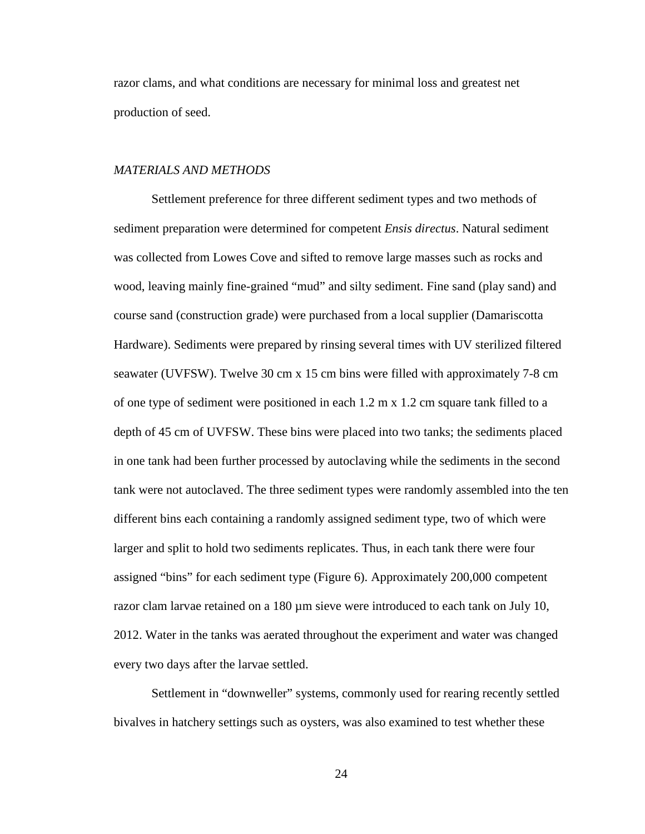razor clams, and what conditions are necessary for minimal loss and greatest net production of seed.

## *MATERIALS AND METHODS*

Settlement preference for three different sediment types and two methods of sediment preparation were determined for competent *Ensis directus*. Natural sediment was collected from Lowes Cove and sifted to remove large masses such as rocks and wood, leaving mainly fine-grained "mud" and silty sediment. Fine sand (play sand) and course sand (construction grade) were purchased from a local supplier (Damariscotta Hardware). Sediments were prepared by rinsing several times with UV sterilized filtered seawater (UVFSW). Twelve 30 cm x 15 cm bins were filled with approximately 7-8 cm of one type of sediment were positioned in each 1.2 m x 1.2 cm square tank filled to a depth of 45 cm of UVFSW. These bins were placed into two tanks; the sediments placed in one tank had been further processed by autoclaving while the sediments in the second tank were not autoclaved. The three sediment types were randomly assembled into the ten different bins each containing a randomly assigned sediment type, two of which were larger and split to hold two sediments replicates. Thus, in each tank there were four assigned "bins" for each sediment type (Figure 6). Approximately 200,000 competent razor clam larvae retained on a 180 µm sieve were introduced to each tank on July 10, 2012. Water in the tanks was aerated throughout the experiment and water was changed every two days after the larvae settled.

Settlement in "downweller" systems, commonly used for rearing recently settled bivalves in hatchery settings such as oysters, was also examined to test whether these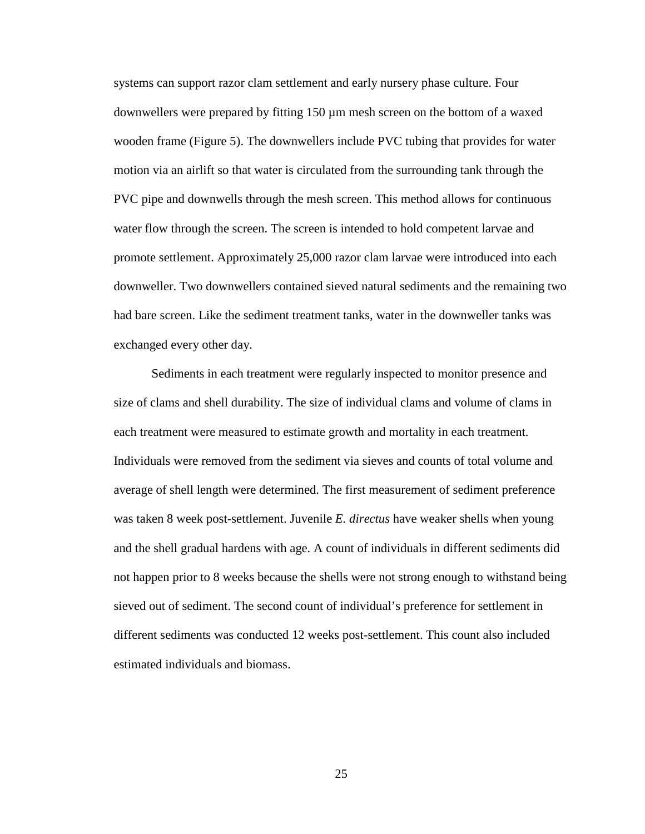systems can support razor clam settlement and early nursery phase culture. Four downwellers were prepared by fitting 150 µm mesh screen on the bottom of a waxed wooden frame (Figure 5). The downwellers include PVC tubing that provides for water motion via an airlift so that water is circulated from the surrounding tank through the PVC pipe and downwells through the mesh screen. This method allows for continuous water flow through the screen. The screen is intended to hold competent larvae and promote settlement. Approximately 25,000 razor clam larvae were introduced into each downweller. Two downwellers contained sieved natural sediments and the remaining two had bare screen. Like the sediment treatment tanks, water in the downweller tanks was exchanged every other day.

Sediments in each treatment were regularly inspected to monitor presence and size of clams and shell durability. The size of individual clams and volume of clams in each treatment were measured to estimate growth and mortality in each treatment. Individuals were removed from the sediment via sieves and counts of total volume and average of shell length were determined. The first measurement of sediment preference was taken 8 week post-settlement. Juvenile *E. directus* have weaker shells when young and the shell gradual hardens with age. A count of individuals in different sediments did not happen prior to 8 weeks because the shells were not strong enough to withstand being sieved out of sediment. The second count of individual's preference for settlement in different sediments was conducted 12 weeks post-settlement. This count also included estimated individuals and biomass.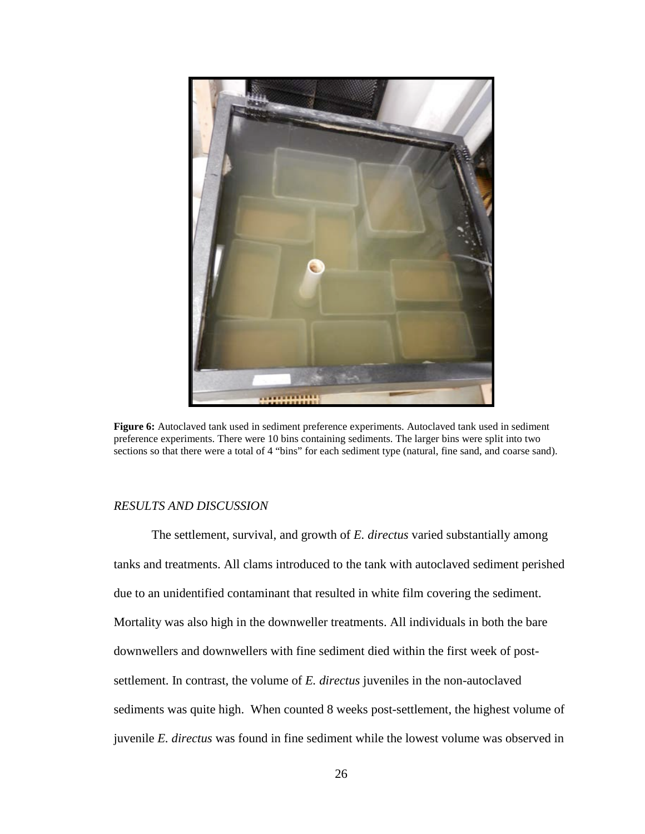

**Figure 6:** Autoclaved tank used in sediment preference experiments. Autoclaved tank used in sediment preference experiments. There were 10 bins containing sediments. The larger bins were split into two sections so that there were a total of 4 "bins" for each sediment type (natural, fine sand, and coarse sand).

#### *RESULTS AND DISCUSSION*

The settlement, survival, and growth of *E. directus* varied substantially among tanks and treatments. All clams introduced to the tank with autoclaved sediment perished due to an unidentified contaminant that resulted in white film covering the sediment. Mortality was also high in the downweller treatments. All individuals in both the bare downwellers and downwellers with fine sediment died within the first week of postsettlement. In contrast, the volume of *E. directus* juveniles in the non-autoclaved sediments was quite high. When counted 8 weeks post-settlement, the highest volume of juvenile *E. directus* was found in fine sediment while the lowest volume was observed in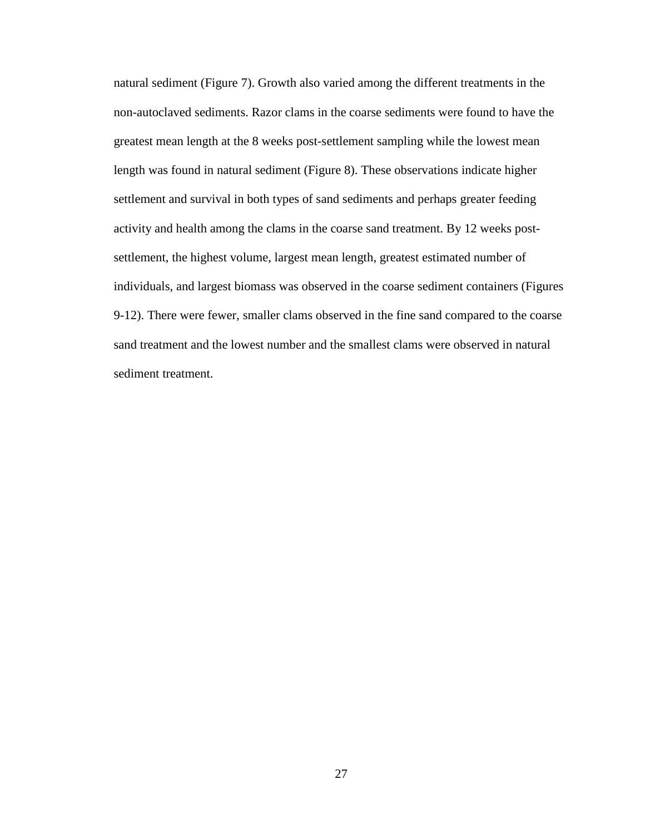natural sediment (Figure 7). Growth also varied among the different treatments in the non-autoclaved sediments. Razor clams in the coarse sediments were found to have the greatest mean length at the 8 weeks post-settlement sampling while the lowest mean length was found in natural sediment (Figure 8). These observations indicate higher settlement and survival in both types of sand sediments and perhaps greater feeding activity and health among the clams in the coarse sand treatment. By 12 weeks postsettlement, the highest volume, largest mean length, greatest estimated number of individuals, and largest biomass was observed in the coarse sediment containers (Figures 9-12). There were fewer, smaller clams observed in the fine sand compared to the coarse sand treatment and the lowest number and the smallest clams were observed in natural sediment treatment.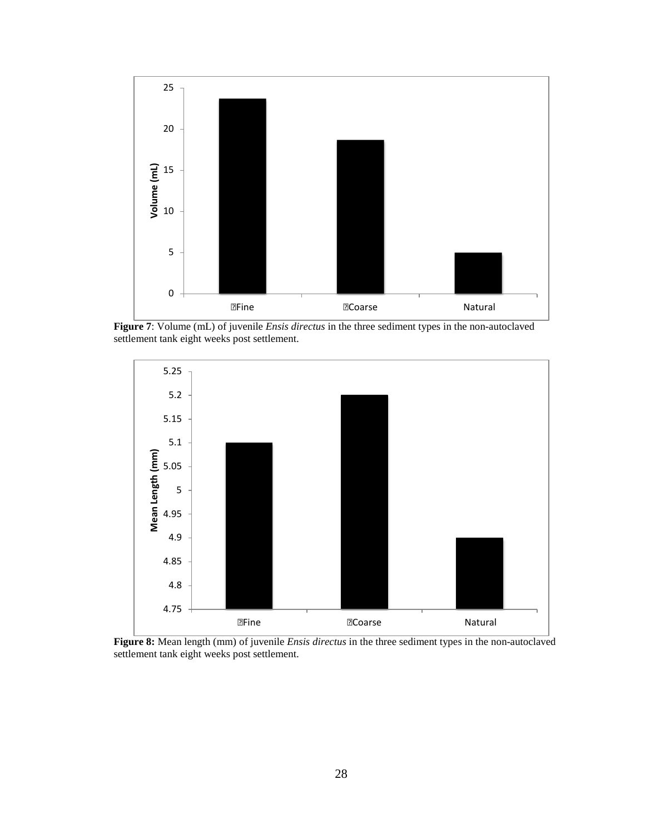

**Figure 7**: Volume (mL) of juvenile *Ensis directus* in the three sediment types in the non-autoclaved settlement tank eight weeks post settlement.



**Figure 8:** Mean length (mm) of juvenile *Ensis directus* in the three sediment types in the non-autoclaved settlement tank eight weeks post settlement.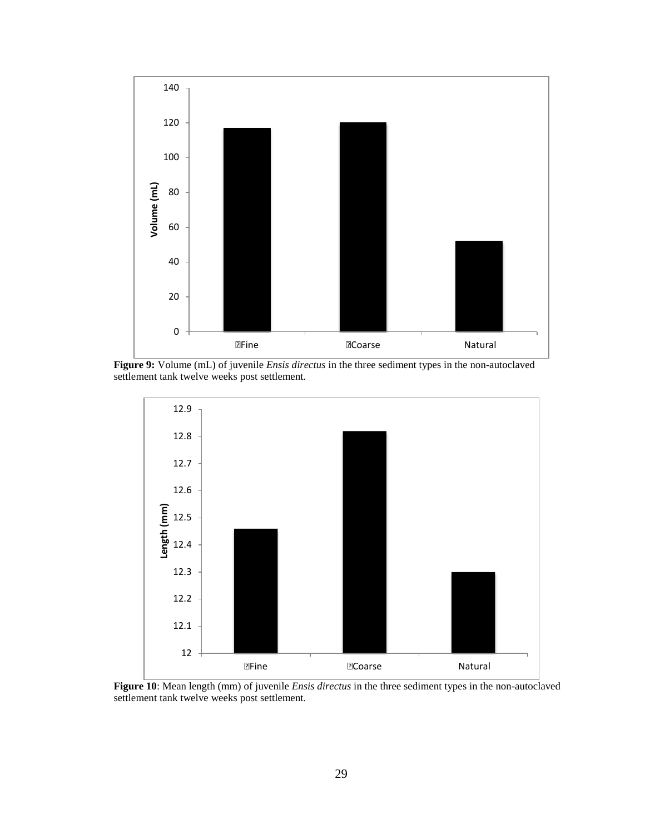

**Figure 9:** Volume (mL) of juvenile *Ensis directus* in the three sediment types in the non-autoclaved settlement tank twelve weeks post settlement.



**Figure 10**: Mean length (mm) of juvenile *Ensis directus* in the three sediment types in the non-autoclaved settlement tank twelve weeks post settlement.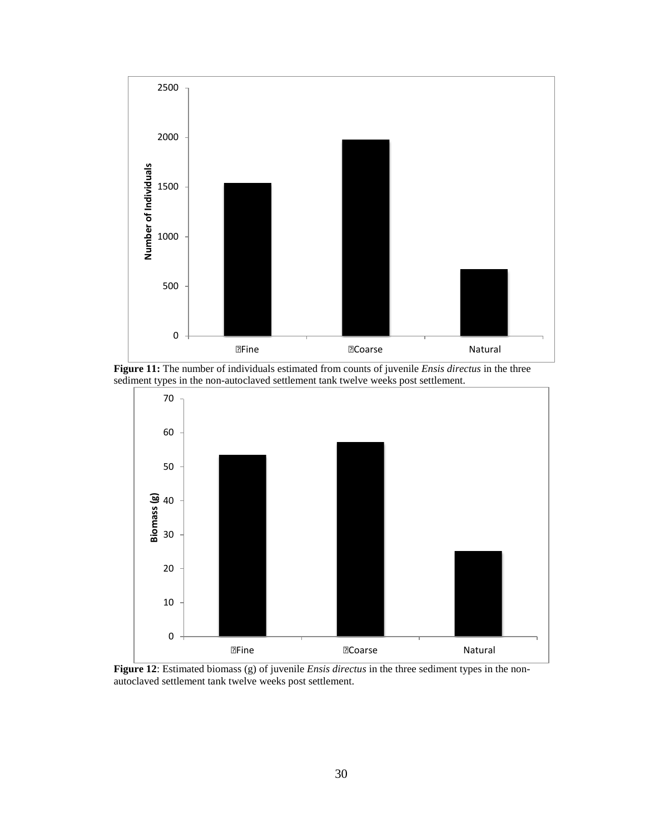

**Figure 11:** The number of individuals estimated from counts of juvenile *Ensis directus* in the three sediment types in the non-autoclaved settlement tank twelve weeks post settlement.



**Figure 12**: Estimated biomass (g) of juvenile *Ensis directus* in the three sediment types in the nonautoclaved settlement tank twelve weeks post settlement.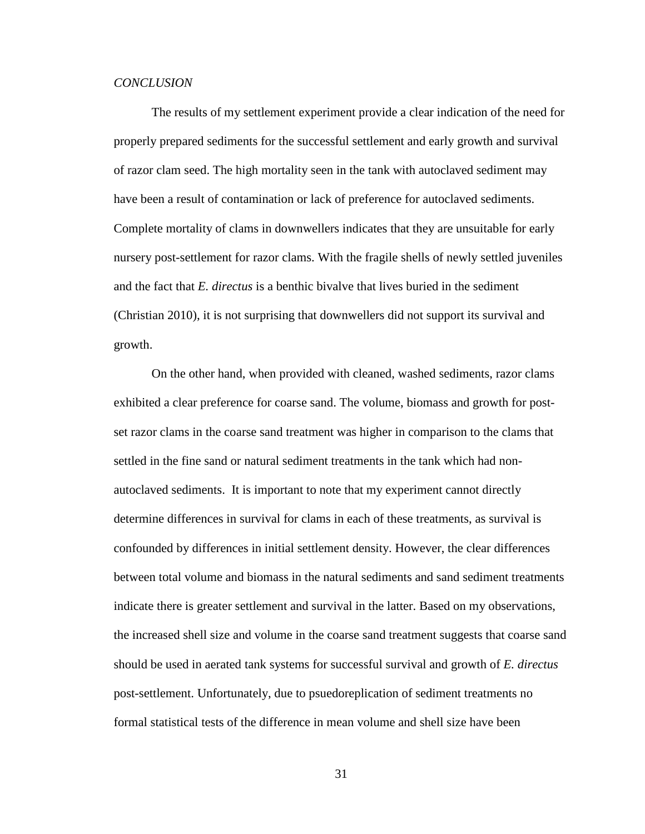## *CONCLUSION*

The results of my settlement experiment provide a clear indication of the need for properly prepared sediments for the successful settlement and early growth and survival of razor clam seed. The high mortality seen in the tank with autoclaved sediment may have been a result of contamination or lack of preference for autoclaved sediments. Complete mortality of clams in downwellers indicates that they are unsuitable for early nursery post-settlement for razor clams. With the fragile shells of newly settled juveniles and the fact that *E. directus* is a benthic bivalve that lives buried in the sediment (Christian 2010), it is not surprising that downwellers did not support its survival and growth.

On the other hand, when provided with cleaned, washed sediments, razor clams exhibited a clear preference for coarse sand. The volume, biomass and growth for postset razor clams in the coarse sand treatment was higher in comparison to the clams that settled in the fine sand or natural sediment treatments in the tank which had nonautoclaved sediments. It is important to note that my experiment cannot directly determine differences in survival for clams in each of these treatments, as survival is confounded by differences in initial settlement density. However, the clear differences between total volume and biomass in the natural sediments and sand sediment treatments indicate there is greater settlement and survival in the latter. Based on my observations, the increased shell size and volume in the coarse sand treatment suggests that coarse sand should be used in aerated tank systems for successful survival and growth of *E. directus*  post-settlement. Unfortunately, due to psuedoreplication of sediment treatments no formal statistical tests of the difference in mean volume and shell size have been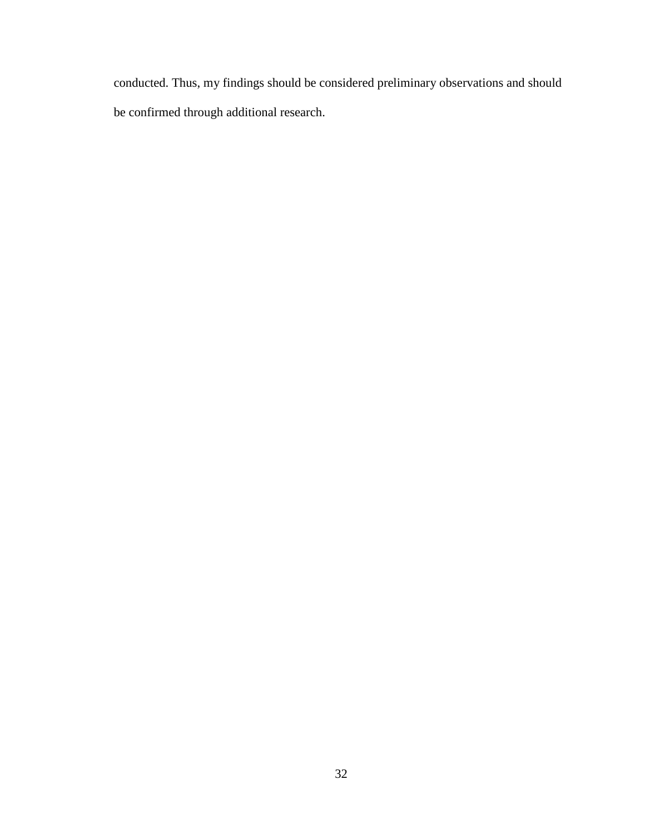conducted. Thus, my findings should be considered preliminary observations and should be confirmed through additional research.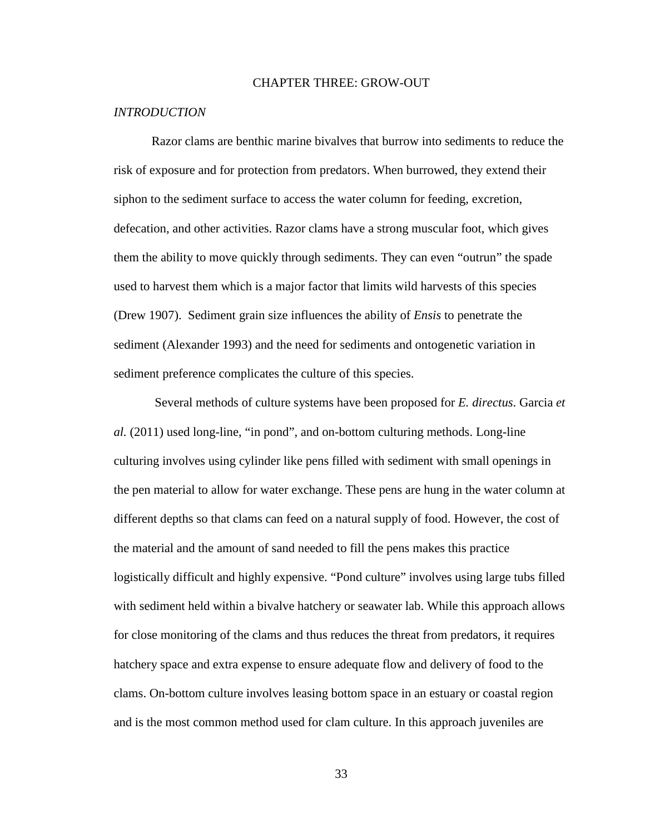# CHAPTER THREE: GROW-OUT

## *INTRODUCTION*

Razor clams are benthic marine bivalves that burrow into sediments to reduce the risk of exposure and for protection from predators. When burrowed, they extend their siphon to the sediment surface to access the water column for feeding, excretion, defecation, and other activities. Razor clams have a strong muscular foot, which gives them the ability to move quickly through sediments. They can even "outrun" the spade used to harvest them which is a major factor that limits wild harvests of this species (Drew 1907). Sediment grain size influences the ability of *Ensis* to penetrate the sediment (Alexander 1993) and the need for sediments and ontogenetic variation in sediment preference complicates the culture of this species.

Several methods of culture systems have been proposed for *E. directus*. Garcia *et al.* (2011) used long-line, "in pond", and on-bottom culturing methods. Long-line culturing involves using cylinder like pens filled with sediment with small openings in the pen material to allow for water exchange. These pens are hung in the water column at different depths so that clams can feed on a natural supply of food. However, the cost of the material and the amount of sand needed to fill the pens makes this practice logistically difficult and highly expensive. "Pond culture" involves using large tubs filled with sediment held within a bivalve hatchery or seawater lab. While this approach allows for close monitoring of the clams and thus reduces the threat from predators, it requires hatchery space and extra expense to ensure adequate flow and delivery of food to the clams. On-bottom culture involves leasing bottom space in an estuary or coastal region and is the most common method used for clam culture. In this approach juveniles are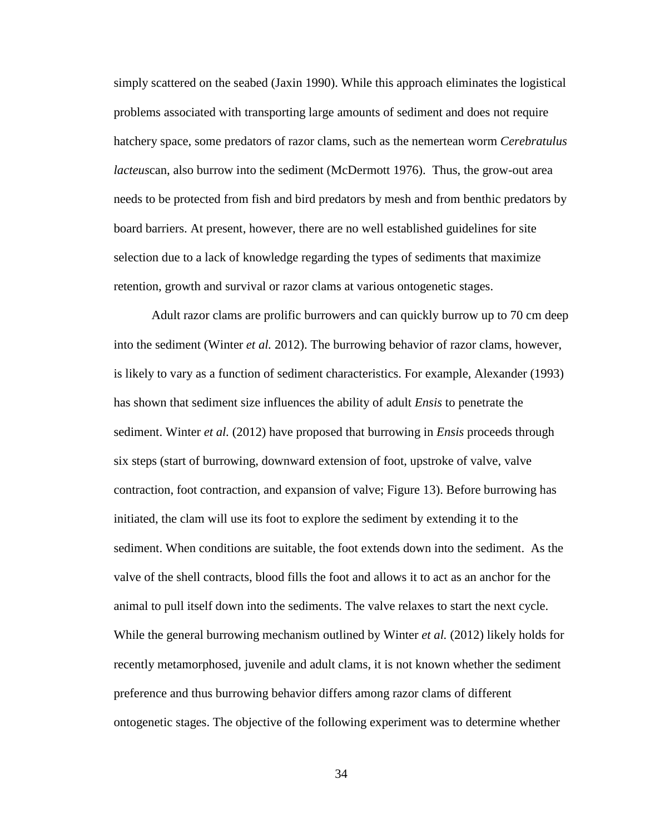simply scattered on the seabed (Jaxin 1990). While this approach eliminates the logistical problems associated with transporting large amounts of sediment and does not require hatchery space, some predators of razor clams, such as the nemertean worm *Cerebratulus lacteus*can, also burrow into the sediment (McDermott 1976). Thus, the grow-out area needs to be protected from fish and bird predators by mesh and from benthic predators by board barriers. At present, however, there are no well established guidelines for site selection due to a lack of knowledge regarding the types of sediments that maximize retention, growth and survival or razor clams at various ontogenetic stages.

Adult razor clams are prolific burrowers and can quickly burrow up to 70 cm deep into the sediment (Winter *et al.* 2012). The burrowing behavior of razor clams, however, is likely to vary as a function of sediment characteristics. For example, Alexander (1993) has shown that sediment size influences the ability of adult *Ensis* to penetrate the sediment. Winter *et al.* (2012) have proposed that burrowing in *Ensis* proceeds through six steps (start of burrowing, downward extension of foot, upstroke of valve, valve contraction, foot contraction, and expansion of valve; Figure 13). Before burrowing has initiated, the clam will use its foot to explore the sediment by extending it to the sediment. When conditions are suitable, the foot extends down into the sediment. As the valve of the shell contracts, blood fills the foot and allows it to act as an anchor for the animal to pull itself down into the sediments. The valve relaxes to start the next cycle. While the general burrowing mechanism outlined by Winter *et al.* (2012) likely holds for recently metamorphosed, juvenile and adult clams, it is not known whether the sediment preference and thus burrowing behavior differs among razor clams of different ontogenetic stages. The objective of the following experiment was to determine whether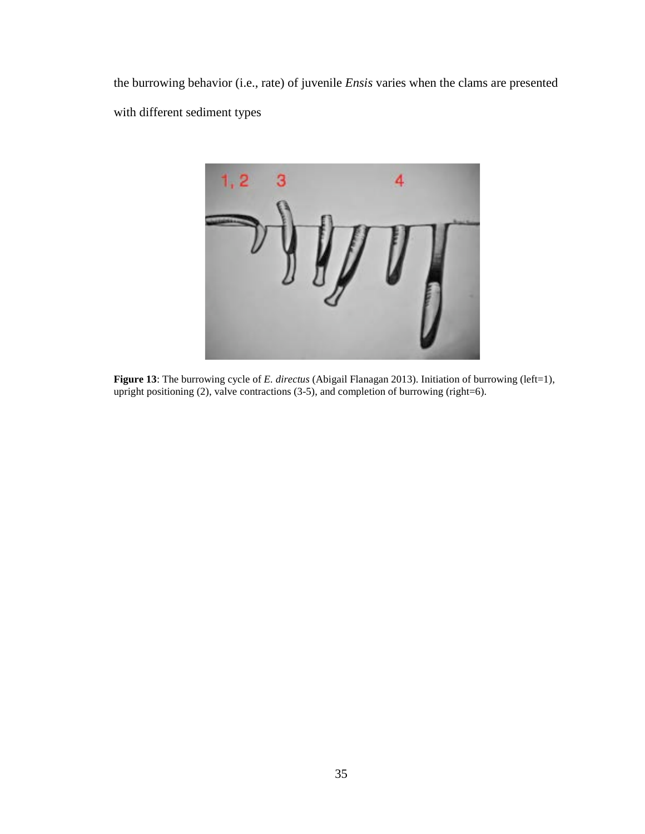the burrowing behavior (i.e., rate) of juvenile *Ensis* varies when the clams are presented with different sediment types



**Figure 13**: The burrowing cycle of *E. directus* (Abigail Flanagan 2013). Initiation of burrowing (left=1), upright positioning (2), valve contractions (3-5), and completion of burrowing (right=6).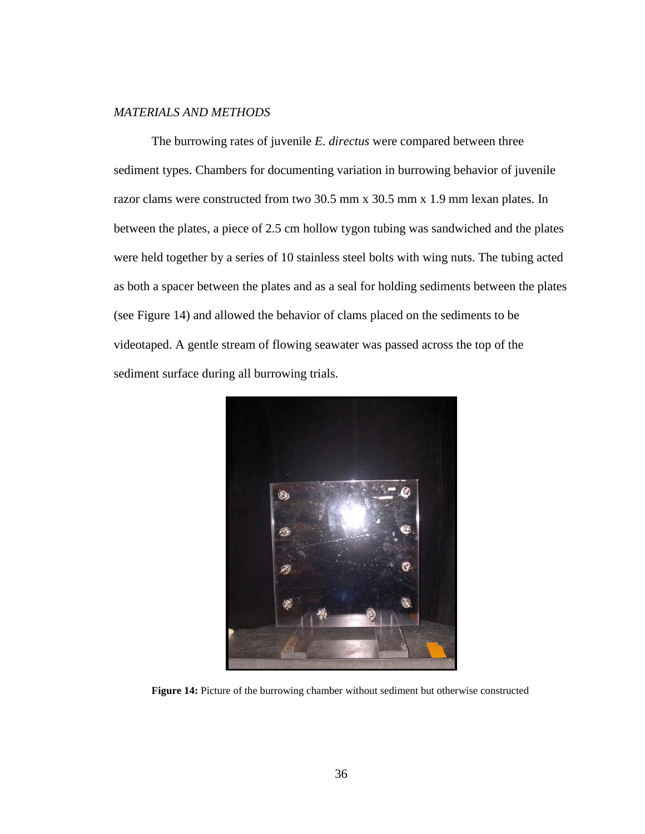# *MATERIALS AND METHODS*

The burrowing rates of juvenile *E. directus* were compared between three sediment types. Chambers for documenting variation in burrowing behavior of juvenile razor clams were constructed from two 30.5 mm x 30.5 mm x 1.9 mm lexan plates. In between the plates, a piece of 2.5 cm hollow tygon tubing was sandwiched and the plates were held together by a series of 10 stainless steel bolts with wing nuts. The tubing acted as both a spacer between the plates and as a seal for holding sediments between the plates (see Figure 14) and allowed the behavior of clams placed on the sediments to be videotaped. A gentle stream of flowing seawater was passed across the top of the sediment surface during all burrowing trials.



**Figure 14:** Picture of the burrowing chamber without sediment but otherwise constructed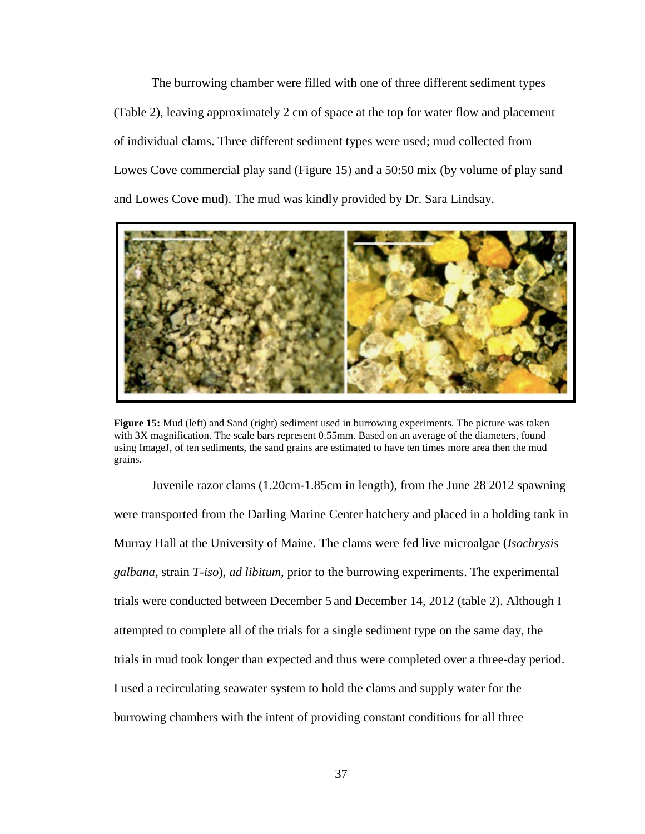The burrowing chamber were filled with one of three different sediment types (Table 2), leaving approximately 2 cm of space at the top for water flow and placement of individual clams. Three different sediment types were used; mud collected from Lowes Cove commercial play sand (Figure 15) and a 50:50 mix (by volume of play sand and Lowes Cove mud). The mud was kindly provided by Dr. Sara Lindsay.



**Figure 15:** Mud (left) and Sand (right) sediment used in burrowing experiments. The picture was taken with 3X magnification. The scale bars represent 0.55mm. Based on an average of the diameters, found using ImageJ, of ten sediments, the sand grains are estimated to have ten times more area then the mud grains.

Juvenile razor clams (1.20cm-1.85cm in length), from the June 28 2012 spawning were transported from the Darling Marine Center hatchery and placed in a holding tank in Murray Hall at the University of Maine. The clams were fed live microalgae (*Isochrysis galbana,* strain *T-iso*), *ad libitum*, prior to the burrowing experiments. The experimental trials were conducted between December 5 and December 14, 2012 (table 2). Although I attempted to complete all of the trials for a single sediment type on the same day, the trials in mud took longer than expected and thus were completed over a three-day period. I used a recirculating seawater system to hold the clams and supply water for the burrowing chambers with the intent of providing constant conditions for all three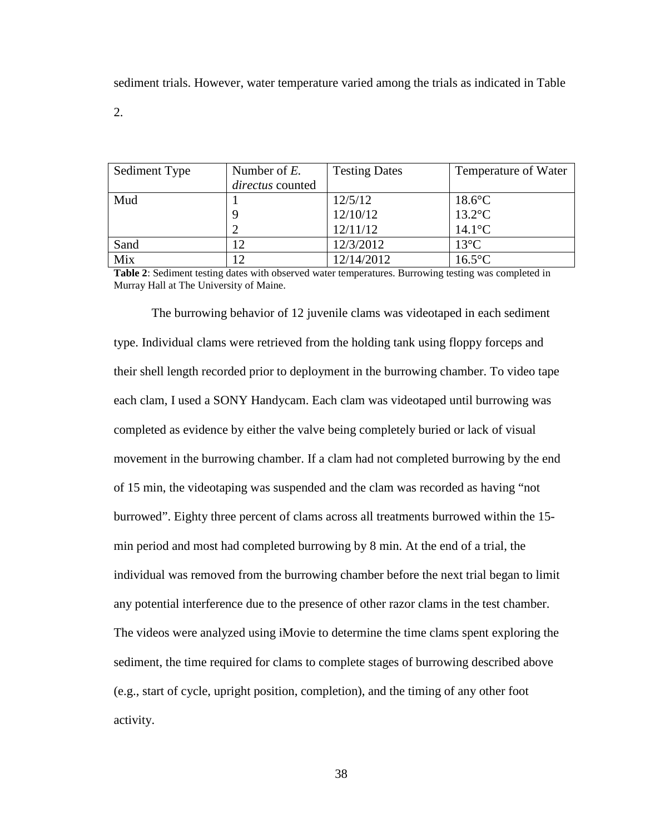sediment trials. However, water temperature varied among the trials as indicated in Table

2.

| Sediment Type | Number of $E$ .  | <b>Testing Dates</b> | Temperature of Water |
|---------------|------------------|----------------------|----------------------|
|               | directus counted |                      |                      |
| Mud           |                  | 12/5/12              | $18.6$ °C            |
|               |                  | 12/10/12             | $13.2$ °C            |
|               |                  | 12/11/12             | $14.1$ °C            |
| Sand          |                  | 12/3/2012            | $13^{\circ}$ C       |
| Mix           | 1 ^              | 12/14/2012           | $16.5^{\circ}$ C     |

**Table 2**: Sediment testing dates with observed water temperatures. Burrowing testing was completed in Murray Hall at The University of Maine.

The burrowing behavior of 12 juvenile clams was videotaped in each sediment type. Individual clams were retrieved from the holding tank using floppy forceps and their shell length recorded prior to deployment in the burrowing chamber. To video tape each clam, I used a SONY Handycam. Each clam was videotaped until burrowing was completed as evidence by either the valve being completely buried or lack of visual movement in the burrowing chamber. If a clam had not completed burrowing by the end of 15 min, the videotaping was suspended and the clam was recorded as having "not burrowed". Eighty three percent of clams across all treatments burrowed within the 15 min period and most had completed burrowing by 8 min. At the end of a trial, the individual was removed from the burrowing chamber before the next trial began to limit any potential interference due to the presence of other razor clams in the test chamber. The videos were analyzed using iMovie to determine the time clams spent exploring the sediment, the time required for clams to complete stages of burrowing described above (e.g., start of cycle, upright position, completion), and the timing of any other foot activity.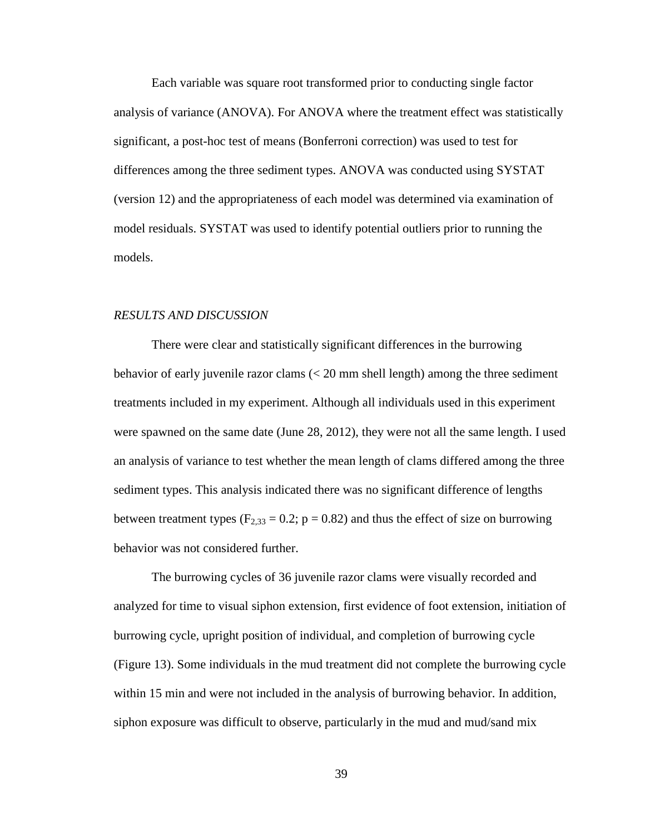Each variable was square root transformed prior to conducting single factor analysis of variance (ANOVA). For ANOVA where the treatment effect was statistically significant, a post-hoc test of means (Bonferroni correction) was used to test for differences among the three sediment types. ANOVA was conducted using SYSTAT (version 12) and the appropriateness of each model was determined via examination of model residuals. SYSTAT was used to identify potential outliers prior to running the models.

# *RESULTS AND DISCUSSION*

There were clear and statistically significant differences in the burrowing behavior of early juvenile razor clams (< 20 mm shell length) among the three sediment treatments included in my experiment. Although all individuals used in this experiment were spawned on the same date (June 28, 2012), they were not all the same length. I used an analysis of variance to test whether the mean length of clams differed among the three sediment types. This analysis indicated there was no significant difference of lengths between treatment types ( $F_{2,33} = 0.2$ ; p = 0.82) and thus the effect of size on burrowing behavior was not considered further.

The burrowing cycles of 36 juvenile razor clams were visually recorded and analyzed for time to visual siphon extension, first evidence of foot extension, initiation of burrowing cycle, upright position of individual, and completion of burrowing cycle (Figure 13). Some individuals in the mud treatment did not complete the burrowing cycle within 15 min and were not included in the analysis of burrowing behavior. In addition, siphon exposure was difficult to observe, particularly in the mud and mud/sand mix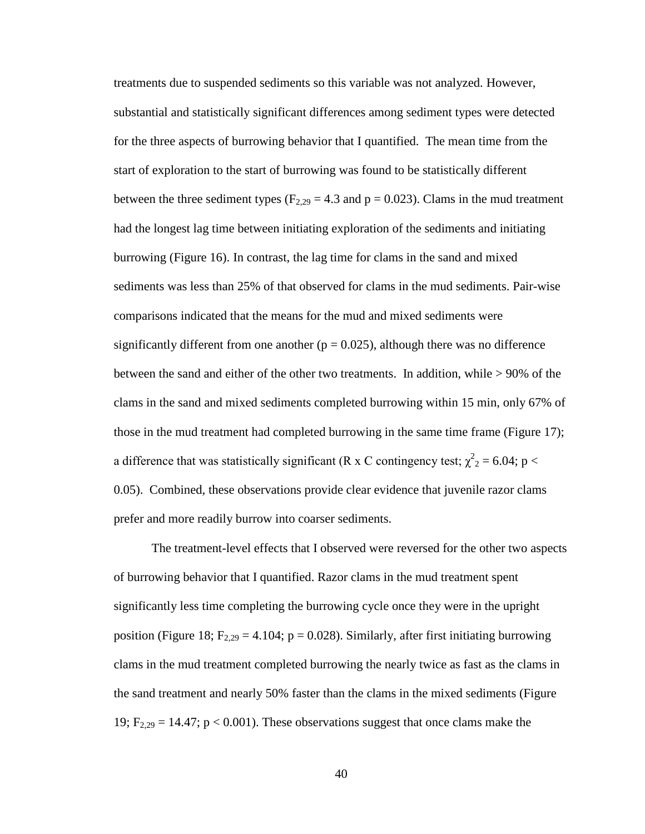treatments due to suspended sediments so this variable was not analyzed. However, substantial and statistically significant differences among sediment types were detected for the three aspects of burrowing behavior that I quantified. The mean time from the start of exploration to the start of burrowing was found to be statistically different between the three sediment types ( $F_{2,29} = 4.3$  and  $p = 0.023$ ). Clams in the mud treatment had the longest lag time between initiating exploration of the sediments and initiating burrowing (Figure 16). In contrast, the lag time for clams in the sand and mixed sediments was less than 25% of that observed for clams in the mud sediments. Pair-wise comparisons indicated that the means for the mud and mixed sediments were significantly different from one another ( $p = 0.025$ ), although there was no difference between the sand and either of the other two treatments. In addition, while > 90% of the clams in the sand and mixed sediments completed burrowing within 15 min, only 67% of those in the mud treatment had completed burrowing in the same time frame (Figure 17); a difference that was statistically significant (R x C contingency test;  $\chi^2$ <sub>2</sub> = 6.04; p < 0.05). Combined, these observations provide clear evidence that juvenile razor clams prefer and more readily burrow into coarser sediments.

The treatment-level effects that I observed were reversed for the other two aspects of burrowing behavior that I quantified. Razor clams in the mud treatment spent significantly less time completing the burrowing cycle once they were in the upright position (Figure 18;  $F_{2,29} = 4.104$ ;  $p = 0.028$ ). Similarly, after first initiating burrowing clams in the mud treatment completed burrowing the nearly twice as fast as the clams in the sand treatment and nearly 50% faster than the clams in the mixed sediments (Figure 19;  $F_{2,29} = 14.47$ ;  $p < 0.001$ ). These observations suggest that once clams make the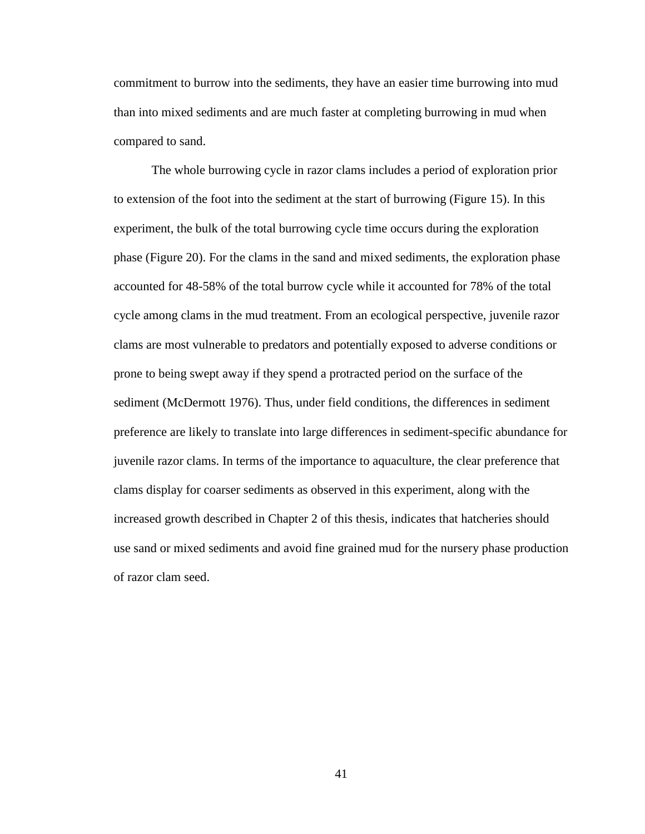commitment to burrow into the sediments, they have an easier time burrowing into mud than into mixed sediments and are much faster at completing burrowing in mud when compared to sand.

The whole burrowing cycle in razor clams includes a period of exploration prior to extension of the foot into the sediment at the start of burrowing (Figure 15). In this experiment, the bulk of the total burrowing cycle time occurs during the exploration phase (Figure 20). For the clams in the sand and mixed sediments, the exploration phase accounted for 48-58% of the total burrow cycle while it accounted for 78% of the total cycle among clams in the mud treatment. From an ecological perspective, juvenile razor clams are most vulnerable to predators and potentially exposed to adverse conditions or prone to being swept away if they spend a protracted period on the surface of the sediment (McDermott 1976). Thus, under field conditions, the differences in sediment preference are likely to translate into large differences in sediment-specific abundance for juvenile razor clams. In terms of the importance to aquaculture, the clear preference that clams display for coarser sediments as observed in this experiment, along with the increased growth described in Chapter 2 of this thesis, indicates that hatcheries should use sand or mixed sediments and avoid fine grained mud for the nursery phase production of razor clam seed.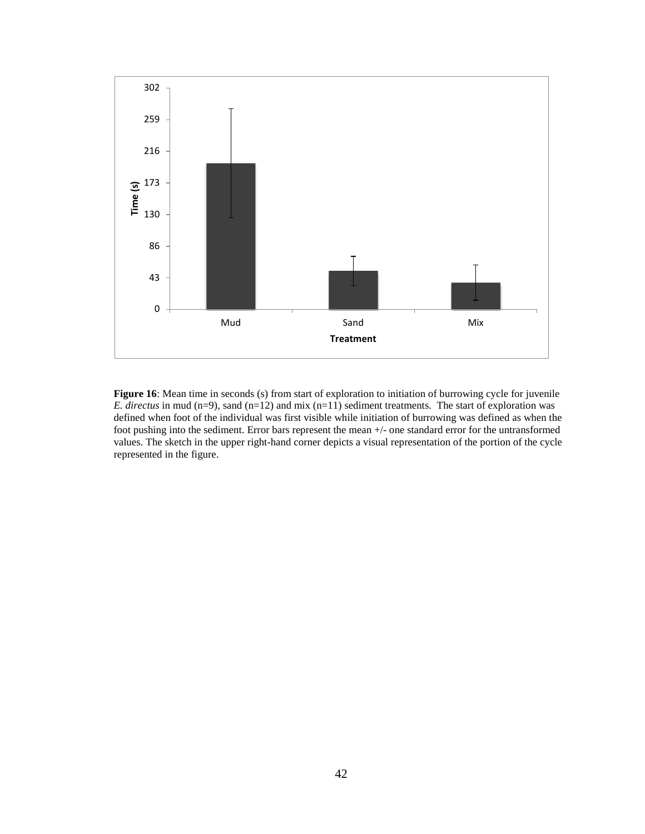

Figure 16: Mean time in seconds (s) from start of exploration to initiation of burrowing cycle for juvenile *E. directus* in mud (n=9), sand (n=12) and mix (n=11) sediment treatments. The start of exploration was defined when foot of the individual was first visible while initiation of burrowing was defined as when the foot pushing into the sediment. Error bars represent the mean +/- one standard error for the untransformed values. The sketch in the upper right-hand corner depicts a visual representation of the portion of the cycle represented in the figure.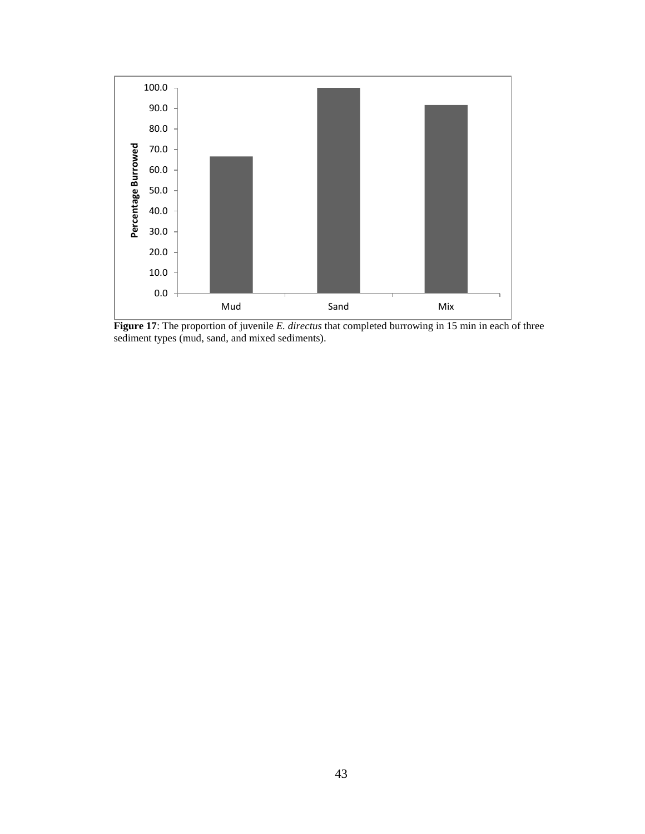

**Figure 17**: The proportion of juvenile *E. directus* that completed burrowing in 15 min in each of three sediment types (mud, sand, and mixed sediments).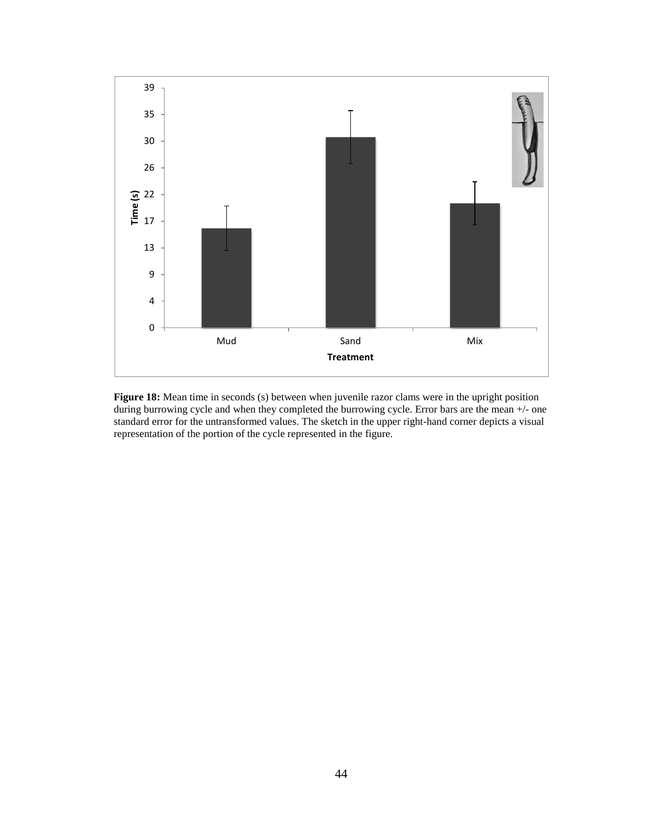

**Figure 18:** Mean time in seconds (s) between when juvenile razor clams were in the upright position during burrowing cycle and when they completed the burrowing cycle. Error bars are the mean +/- one standard error for the untransformed values. The sketch in the upper right-hand corner depicts a visual representation of the portion of the cycle represented in the figure.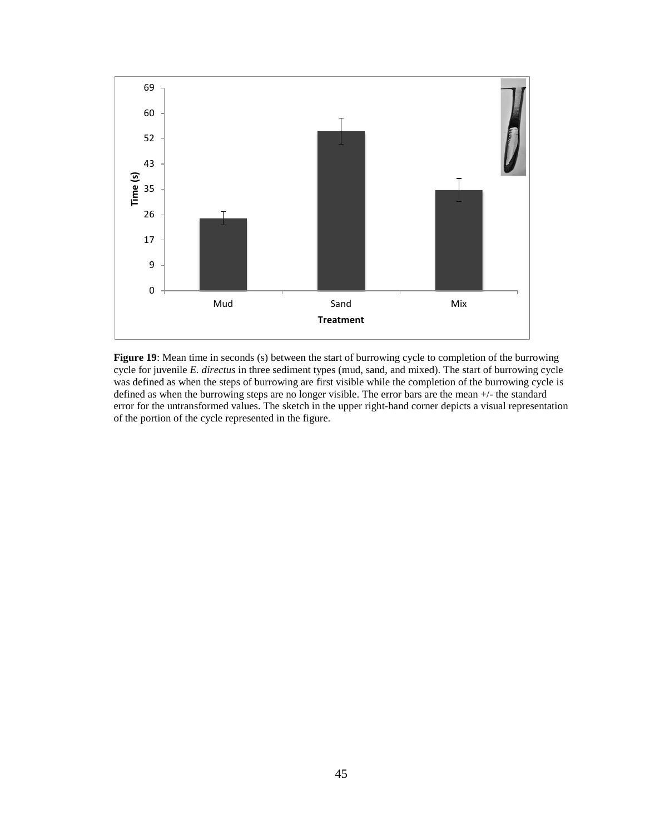

**Figure 19**: Mean time in seconds (s) between the start of burrowing cycle to completion of the burrowing cycle for juvenile *E. directus* in three sediment types (mud, sand, and mixed). The start of burrowing cycle was defined as when the steps of burrowing are first visible while the completion of the burrowing cycle is defined as when the burrowing steps are no longer visible. The error bars are the mean +/- the standard error for the untransformed values. The sketch in the upper right-hand corner depicts a visual representation of the portion of the cycle represented in the figure.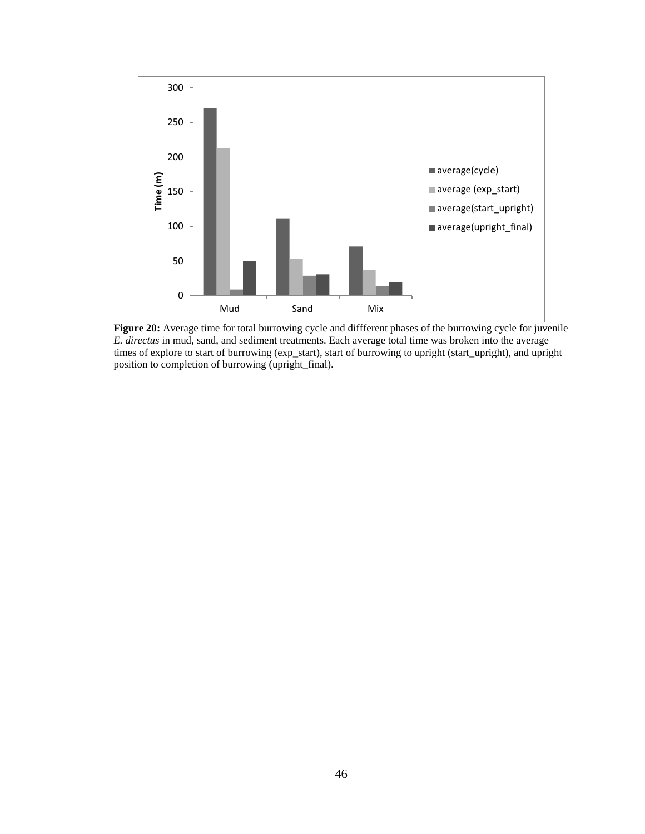

**Figure 20:** Average time for total burrowing cycle and diffferent phases of the burrowing cycle for juvenile *E. directus* in mud, sand, and sediment treatments. Each average total time was broken into the average times of explore to start of burrowing (exp\_start), start of burrowing to upright (start\_upright), and upright position to completion of burrowing (upright\_final).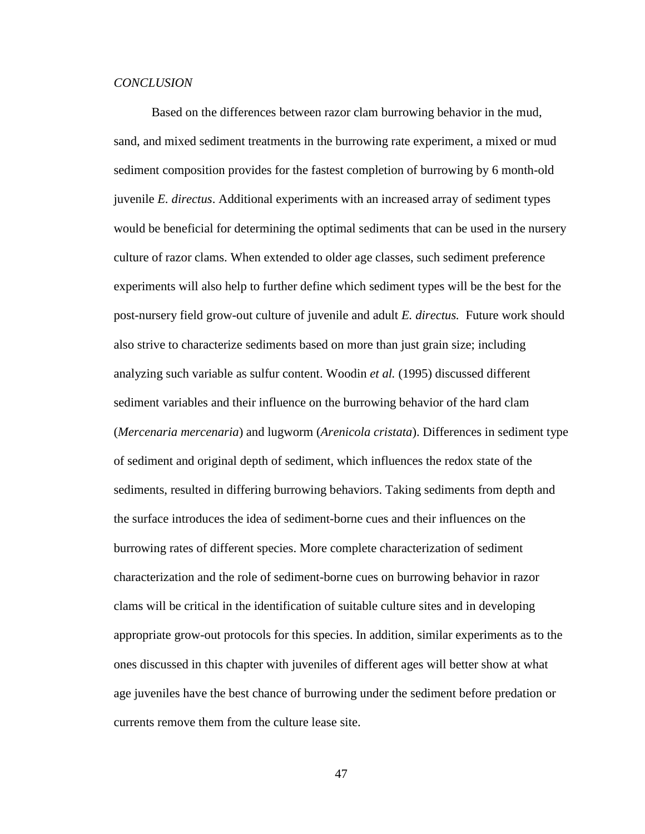## *CONCLUSION*

Based on the differences between razor clam burrowing behavior in the mud, sand, and mixed sediment treatments in the burrowing rate experiment, a mixed or mud sediment composition provides for the fastest completion of burrowing by 6 month-old juvenile *E. directus*. Additional experiments with an increased array of sediment types would be beneficial for determining the optimal sediments that can be used in the nursery culture of razor clams. When extended to older age classes, such sediment preference experiments will also help to further define which sediment types will be the best for the post-nursery field grow-out culture of juvenile and adult *E. directus.* Future work should also strive to characterize sediments based on more than just grain size; including analyzing such variable as sulfur content. Woodin *et al.* (1995) discussed different sediment variables and their influence on the burrowing behavior of the hard clam (*Mercenaria mercenaria*) and lugworm (*Arenicola cristata*). Differences in sediment type of sediment and original depth of sediment, which influences the redox state of the sediments, resulted in differing burrowing behaviors. Taking sediments from depth and the surface introduces the idea of sediment-borne cues and their influences on the burrowing rates of different species. More complete characterization of sediment characterization and the role of sediment-borne cues on burrowing behavior in razor clams will be critical in the identification of suitable culture sites and in developing appropriate grow-out protocols for this species. In addition, similar experiments as to the ones discussed in this chapter with juveniles of different ages will better show at what age juveniles have the best chance of burrowing under the sediment before predation or currents remove them from the culture lease site.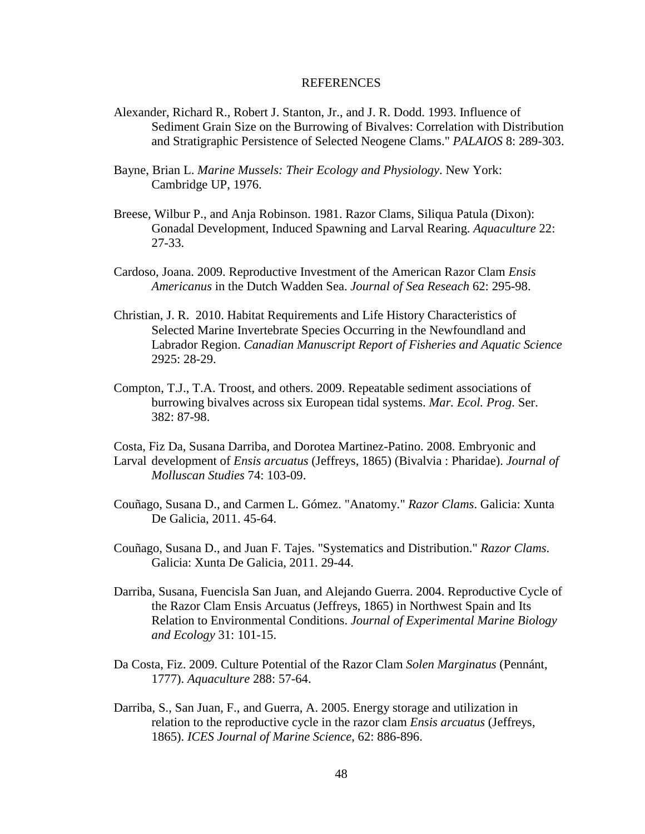#### REFERENCES

- Alexander, Richard R., Robert J. Stanton, Jr., and J. R. Dodd. 1993. Influence of Sediment Grain Size on the Burrowing of Bivalves: Correlation with Distribution and Stratigraphic Persistence of Selected Neogene Clams." *PALAIOS* 8: 289-303.
- Bayne, Brian L. *Marine Mussels: Their Ecology and Physiology*. New York: Cambridge UP, 1976.
- Breese, Wilbur P., and Anja Robinson. 1981. Razor Clams, Siliqua Patula (Dixon): Gonadal Development, Induced Spawning and Larval Rearing. *Aquaculture* 22: 27-33.
- Cardoso, Joana. 2009. Reproductive Investment of the American Razor Clam *Ensis Americanus* in the Dutch Wadden Sea. *Journal of Sea Reseach* 62: 295-98.
- Christian, J. R. 2010. Habitat Requirements and Life History Characteristics of Selected Marine Invertebrate Species Occurring in the Newfoundland and Labrador Region. *Canadian Manuscript Report of Fisheries and Aquatic Science* 2925: 28-29.
- Compton, T.J., T.A. Troost, and others. 2009. Repeatable sediment associations of burrowing bivalves across six European tidal systems. *Mar. Ecol. Prog*. Ser. 382: 87-98.
- Costa, Fiz Da, Susana Darriba, and Dorotea Martinez-Patino. 2008. Embryonic and Larval development of *Ensis arcuatus* (Jeffreys, 1865) (Bivalvia : Pharidae). *Journal of Molluscan Studies* 74: 103-09.
- Couñago, Susana D., and Carmen L. Gómez. "Anatomy." *Razor Clams*. Galicia: Xunta De Galicia, 2011. 45-64.
- Couñago, Susana D., and Juan F. Tajes. "Systematics and Distribution." *Razor Clams*. Galicia: Xunta De Galicia, 2011. 29-44.
- Darriba, Susana, Fuencisla San Juan, and Alejando Guerra. 2004. Reproductive Cycle of the Razor Clam Ensis Arcuatus (Jeffreys, 1865) in Northwest Spain and Its Relation to Environmental Conditions. *Journal of Experimental Marine Biology and Ecology* 31: 101-15.
- Da Costa, Fiz. 2009. Culture Potential of the Razor Clam *Solen Marginatus* (Pennánt, 1777). *Aquaculture* 288: 57-64.
- Darriba, S., San Juan, F., and Guerra, A. 2005. Energy storage and utilization in relation to the reproductive cycle in the razor clam *Ensis arcuatus* (Jeffreys, 1865). *ICES Journal of Marine Science*, 62: 886-896.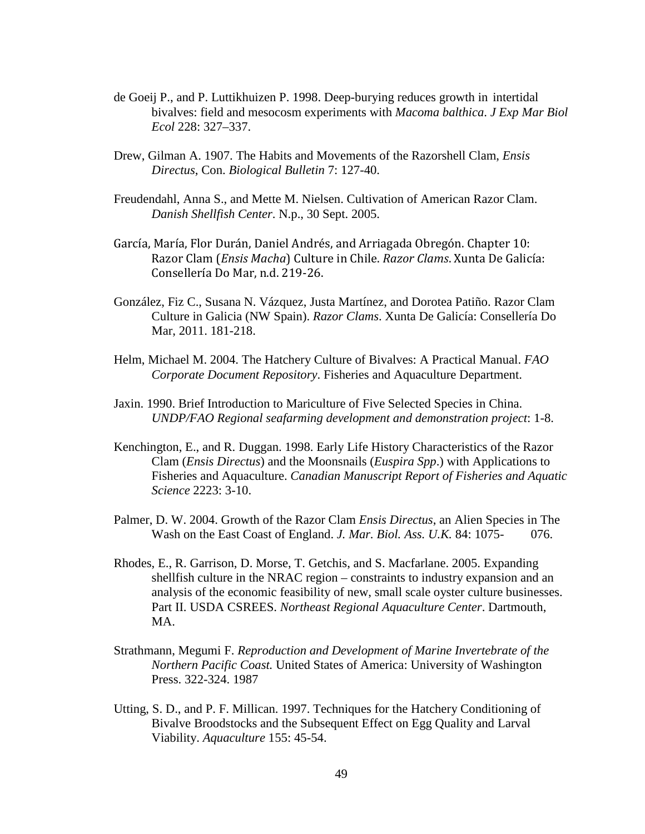- de Goeij P., and P. Luttikhuizen P. 1998. Deep-burying reduces growth in intertidal bivalves: field and mesocosm experiments with *Macoma balthica*. *J Exp Mar Biol Ecol* 228: 327–337.
- Drew, Gilman A. 1907. The Habits and Movements of the Razorshell Clam, *Ensis Directus*, Con. *Biological Bulletin* 7: 127-40.
- Freudendahl, Anna S., and Mette M. Nielsen. Cultivation of American Razor Clam. *Danish Shellfish Center*. N.p., 30 Sept. 2005.
- García, María, Flor Durán, Daniel Andrés, and Arriagada Obregón. Chapter 10: Razor Clam (*Ensis Macha*) Culture in Chile. *Razor Clams*. Xunta De Galicía: Consellería Do Mar, n.d. 219-26.
- González, Fiz C., Susana N. Vázquez, Justa Martínez, and Dorotea Patiño. Razor Clam Culture in Galicia (NW Spain). *Razor Clams*. Xunta De Galicía: Consellería Do Mar, 2011. 181-218.
- Helm, Michael M. 2004. The Hatchery Culture of Bivalves: A Practical Manual. *FAO Corporate Document Repository*. Fisheries and Aquaculture Department.
- Jaxin. 1990. Brief Introduction to Mariculture of Five Selected Species in China. *UNDP/FAO Regional seafarming development and demonstration project*: 1-8.
- Kenchington, E., and R. Duggan. 1998. Early Life History Characteristics of the Razor Clam (*Ensis Directus*) and the Moonsnails (*Euspira Spp*.) with Applications to Fisheries and Aquaculture. *Canadian Manuscript Report of Fisheries and Aquatic Science* 2223: 3-10.
- Palmer, D. W. 2004. Growth of the Razor Clam *Ensis Directus*, an Alien Species in The Wash on the East Coast of England. *J. Mar. Biol. Ass. U.K.* 84: 1075- 076.
- Rhodes, E., R. Garrison, D. Morse, T. Getchis, and S. Macfarlane. 2005. Expanding shellfish culture in the NRAC region – constraints to industry expansion and an analysis of the economic feasibility of new, small scale oyster culture businesses. Part II. USDA CSREES. *Northeast Regional Aquaculture Center*. Dartmouth, MA.
- Strathmann, Megumi F. *Reproduction and Development of Marine Invertebrate of the Northern Pacific Coast.* United States of America: University of Washington Press. 322-324. 1987
- Utting, S. D., and P. F. Millican. 1997. Techniques for the Hatchery Conditioning of Bivalve Broodstocks and the Subsequent Effect on Egg Quality and Larval Viability. *Aquaculture* 155: 45-54.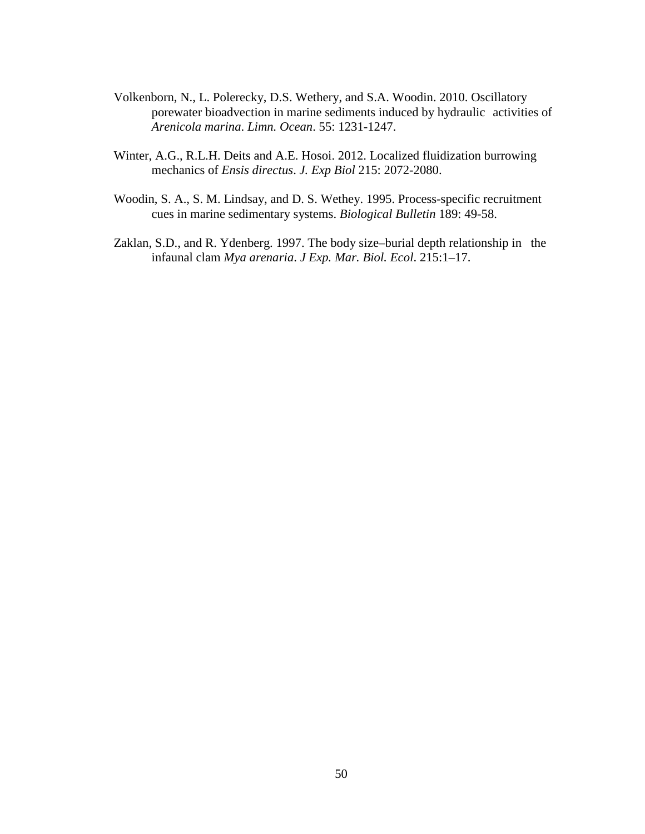- Volkenborn, N., L. Polerecky, D.S. Wethery, and S.A. Woodin. 2010. Oscillatory porewater bioadvection in marine sediments induced by hydraulic activities of *Arenicola marina*. *Limn. Ocean*. 55: 1231-1247.
- Winter, A.G., R.L.H. Deits and A.E. Hosoi. 2012. Localized fluidization burrowing mechanics of *Ensis directus*. *J. Exp Biol* 215: 2072-2080.
- Woodin, S. A., S. M. Lindsay, and D. S. Wethey. 1995. Process-specific recruitment cues in marine sedimentary systems. *Biological Bulletin* 189: 49-58.
- Zaklan, S.D., and R. Ydenberg. 1997. The body size–burial depth relationship in the infaunal clam *Mya arenaria*. *J Exp. Mar. Biol. Ecol*. 215:1–17.